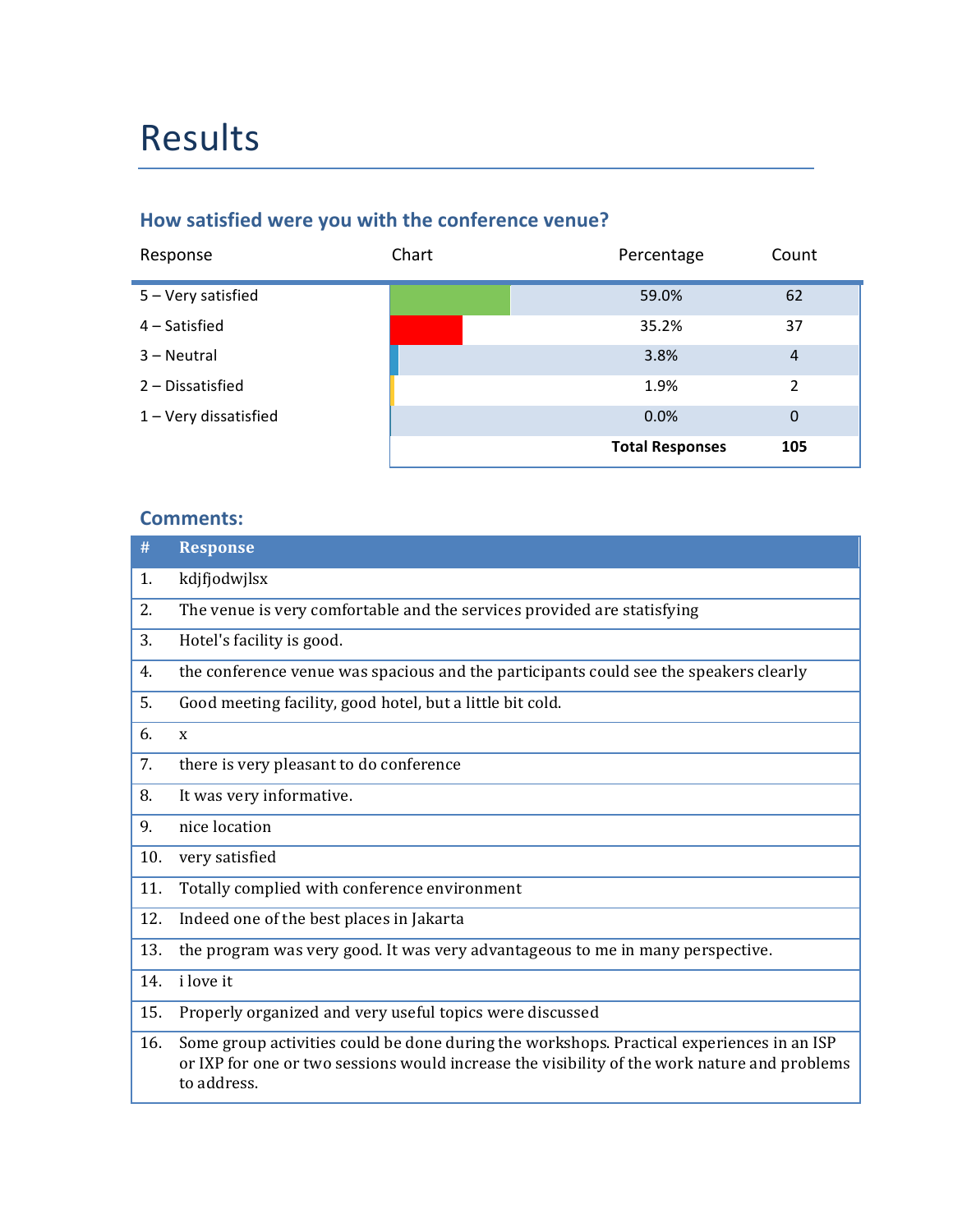# Results

## How satisfied were you with the conference venue?

| Response              | Chart | Percentage             | Count          |
|-----------------------|-------|------------------------|----------------|
| 5 - Very satisfied    |       | 59.0%                  | 62             |
| $4$ – Satisfied       |       | 35.2%                  | 37             |
| 3 – Neutral           |       | 3.8%                   | $\overline{4}$ |
| 2 - Dissatisfied      |       | 1.9%                   | 2              |
| 1 - Very dissatisfied |       | 0.0%                   | $\mathbf{0}$   |
|                       |       | <b>Total Responses</b> | 105            |

| #   | <b>Response</b>                                                                                                                                                                                          |
|-----|----------------------------------------------------------------------------------------------------------------------------------------------------------------------------------------------------------|
| 1.  | kdjfjodwjlsx                                                                                                                                                                                             |
| 2.  | The venue is very comfortable and the services provided are statisfying                                                                                                                                  |
| 3.  | Hotel's facility is good.                                                                                                                                                                                |
| 4.  | the conference venue was spacious and the participants could see the speakers clearly                                                                                                                    |
| 5.  | Good meeting facility, good hotel, but a little bit cold.                                                                                                                                                |
| 6.  | X                                                                                                                                                                                                        |
| 7.  | there is very pleasant to do conference                                                                                                                                                                  |
| 8.  | It was very informative.                                                                                                                                                                                 |
| 9.  | nice location                                                                                                                                                                                            |
| 10. | very satisfied                                                                                                                                                                                           |
| 11. | Totally complied with conference environment                                                                                                                                                             |
| 12. | Indeed one of the best places in Jakarta                                                                                                                                                                 |
| 13. | the program was very good. It was very advantageous to me in many perspective.                                                                                                                           |
| 14. | i love it                                                                                                                                                                                                |
| 15. | Properly organized and very useful topics were discussed                                                                                                                                                 |
| 16. | Some group activities could be done during the workshops. Practical experiences in an ISP<br>or IXP for one or two sessions would increase the visibility of the work nature and problems<br>to address. |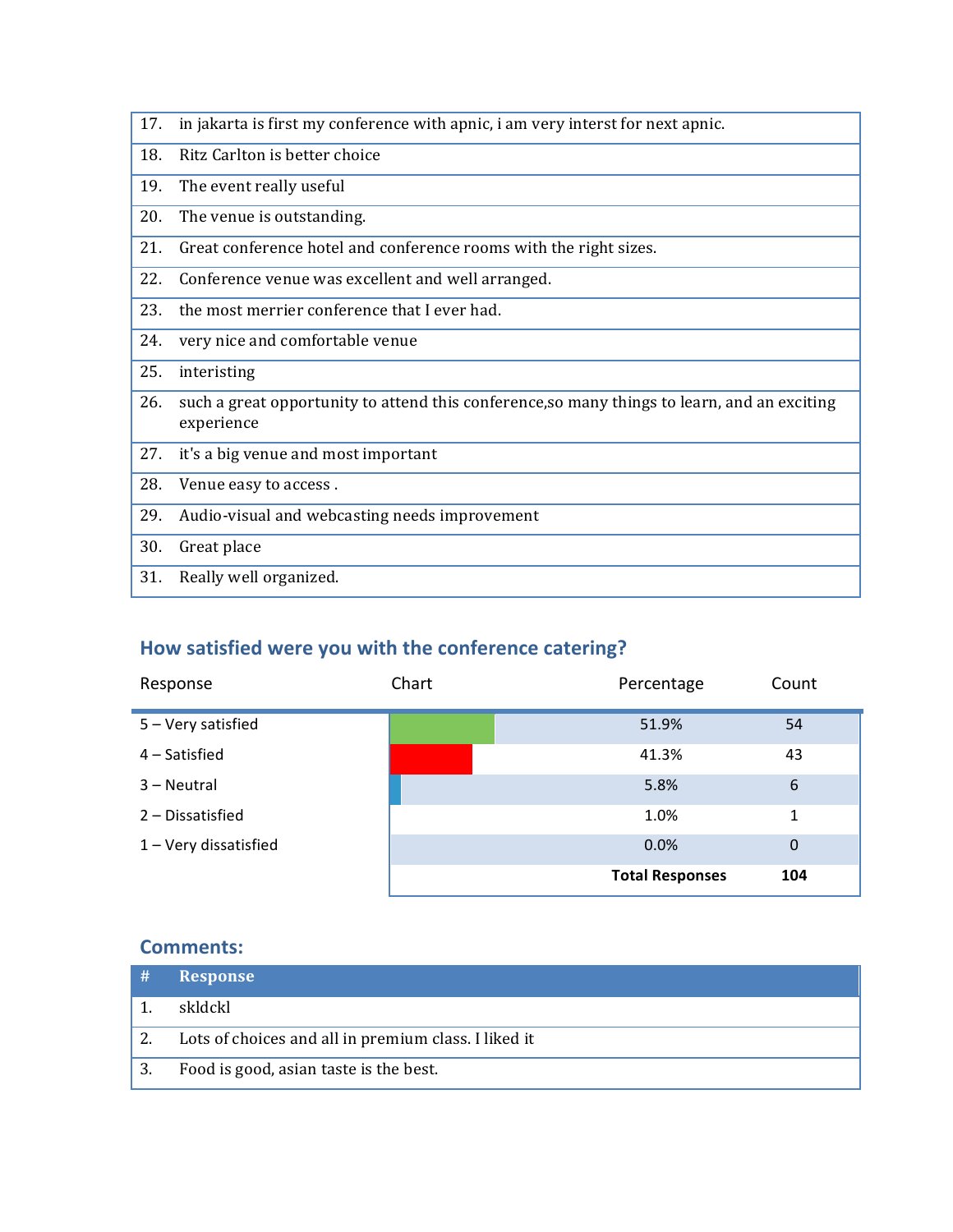| 17. | in jakarta is first my conference with apnic, i am very interst for next apnic.                            |
|-----|------------------------------------------------------------------------------------------------------------|
| 18. | Ritz Carlton is better choice                                                                              |
| 19. | The event really useful                                                                                    |
| 20. | The venue is outstanding.                                                                                  |
| 21. | Great conference hotel and conference rooms with the right sizes.                                          |
| 22. | Conference venue was excellent and well arranged.                                                          |
| 23. | the most merrier conference that I ever had.                                                               |
| 24. | very nice and comfortable venue                                                                            |
| 25. | interisting                                                                                                |
| 26. | such a great opportunity to attend this conference, so many things to learn, and an exciting<br>experience |
| 27. | it's a big venue and most important                                                                        |
| 28. | Venue easy to access.                                                                                      |
| 29. | Audio-visual and webcasting needs improvement                                                              |
| 30. | Great place                                                                                                |
| 31. | Really well organized.                                                                                     |

# How satisfied were you with the conference catering?

| Response              | Chart | Percentage             | Count          |
|-----------------------|-------|------------------------|----------------|
| 5 - Very satisfied    |       | 51.9%                  | 54             |
| 4 – Satisfied         |       | 41.3%                  | 43             |
| 3 - Neutral           |       | 5.8%                   | 6              |
| 2 - Dissatisfied      |       | 1.0%                   | 1              |
| 1 - Very dissatisfied |       | 0.0%                   | $\overline{0}$ |
|                       |       | <b>Total Responses</b> | 104            |

| - # | <b>Response</b>                                      |
|-----|------------------------------------------------------|
|     | skldckl                                              |
|     | Lots of choices and all in premium class. I liked it |
| 3.  | Food is good, asian taste is the best.               |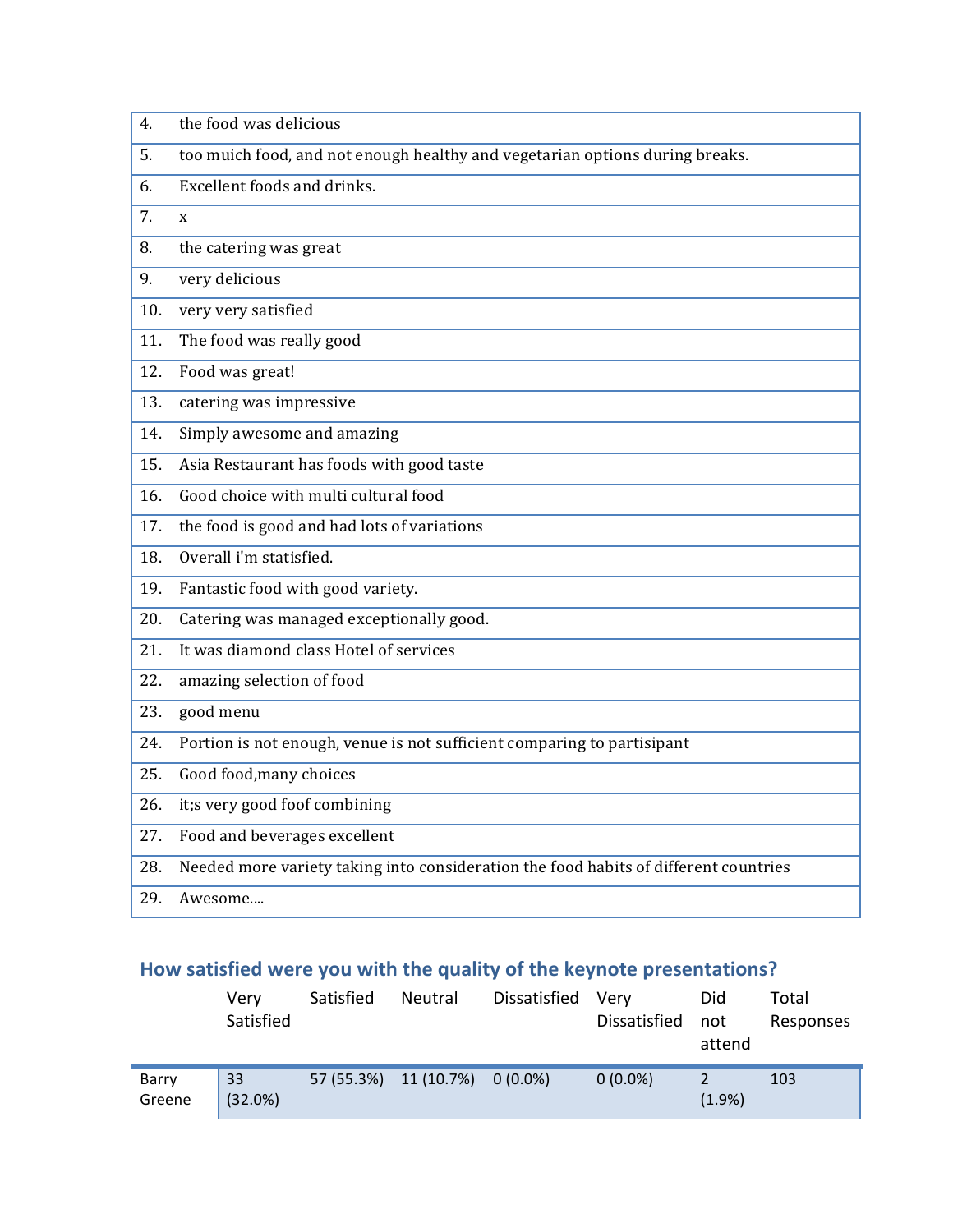| 4.  | the food was delicious                                                               |
|-----|--------------------------------------------------------------------------------------|
| 5.  | too muich food, and not enough healthy and vegetarian options during breaks.         |
| 6.  | Excellent foods and drinks.                                                          |
| 7.  | $\mathbf{x}$                                                                         |
| 8.  | the catering was great                                                               |
| 9.  | very delicious                                                                       |
| 10. | very very satisfied                                                                  |
| 11. | The food was really good                                                             |
| 12. | Food was great!                                                                      |
| 13. | catering was impressive                                                              |
| 14. | Simply awesome and amazing                                                           |
| 15. | Asia Restaurant has foods with good taste                                            |
| 16. | Good choice with multi cultural food                                                 |
| 17. | the food is good and had lots of variations                                          |
| 18. | Overall i'm statisfied.                                                              |
| 19. | Fantastic food with good variety.                                                    |
| 20. | Catering was managed exceptionally good.                                             |
| 21. | It was diamond class Hotel of services                                               |
| 22. | amazing selection of food                                                            |
| 23. | good menu                                                                            |
| 24. | Portion is not enough, venue is not sufficient comparing to partisipant              |
| 25. | Good food, many choices                                                              |
| 26. | it;s very good foof combining                                                        |
| 27. | Food and beverages excellent                                                         |
| 28. | Needed more variety taking into consideration the food habits of different countries |
| 29. | Awesome                                                                              |

# How satisfied were you with the quality of the keynote presentations?

|                 | Verv<br>Satisfied | Satisfied | Neutral                        | Dissatisfied Very | Dissatisfied | Did<br>not<br>attend | Total<br>Responses |
|-----------------|-------------------|-----------|--------------------------------|-------------------|--------------|----------------------|--------------------|
| Barry<br>Greene | 33<br>(32.0%)     |           | 57 (55.3%) 11 (10.7%) 0 (0.0%) |                   | $0(0.0\%)$   | (1.9% )              | 103                |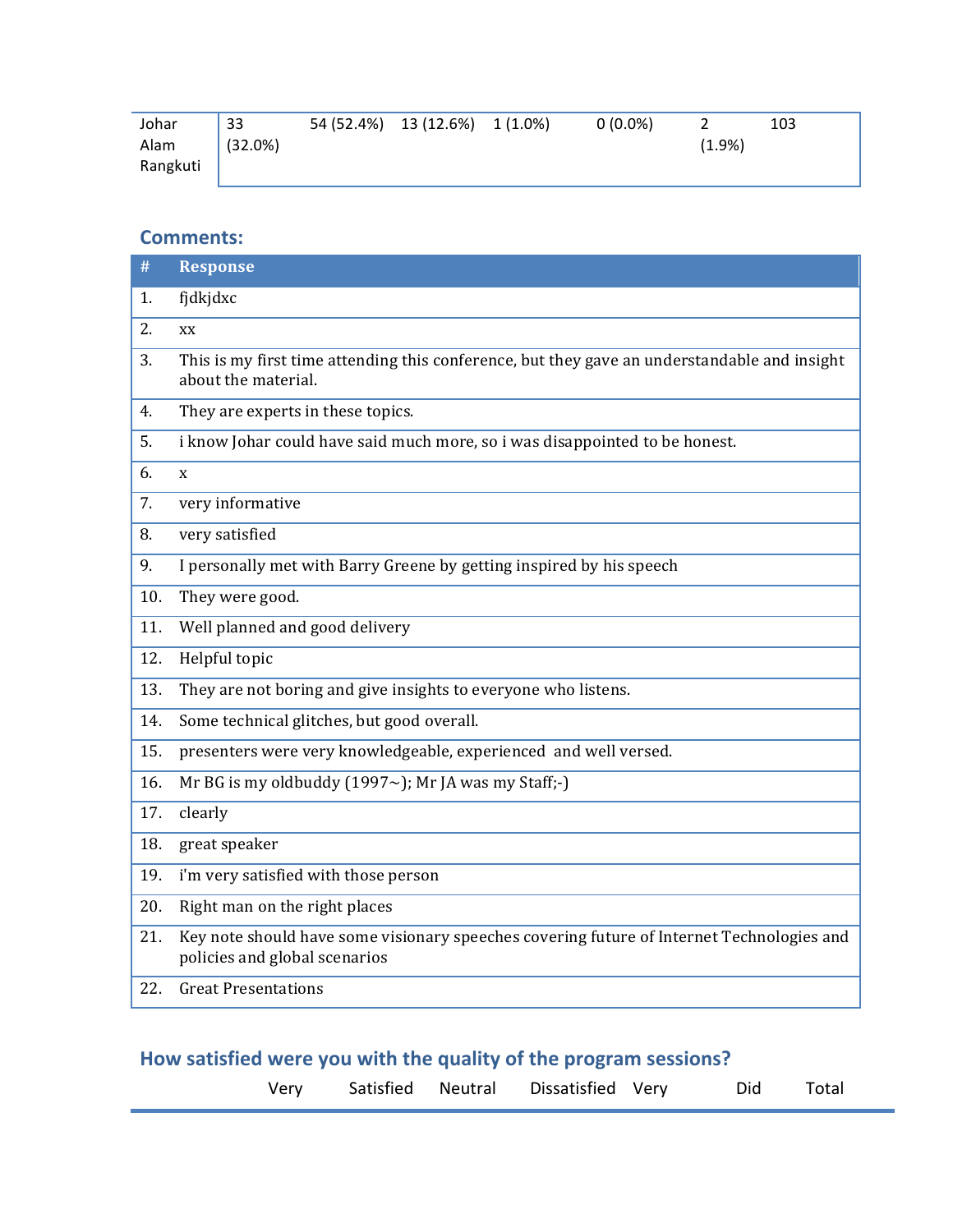| Johar    | 33      | 54 (52.4%) 13 (12.6%) 1 (1.0%) | $0(0.0\%)$ |        | 103 |
|----------|---------|--------------------------------|------------|--------|-----|
| Alam     | (32.0%) |                                |            | (1.9%) |     |
| Rangkuti |         |                                |            |        |     |

#### **Comments:**

| #   | <b>Response</b>                                                                                                            |
|-----|----------------------------------------------------------------------------------------------------------------------------|
| 1.  | fjdkjdxc                                                                                                                   |
| 2.  | XX                                                                                                                         |
| 3.  | This is my first time attending this conference, but they gave an understandable and insight<br>about the material.        |
| 4.  | They are experts in these topics.                                                                                          |
| 5.  | i know Johar could have said much more, so i was disappointed to be honest.                                                |
| 6.  | $\mathbf{x}$                                                                                                               |
| 7.  | very informative                                                                                                           |
| 8.  | very satisfied                                                                                                             |
| 9.  | I personally met with Barry Greene by getting inspired by his speech                                                       |
| 10. | They were good.                                                                                                            |
| 11. | Well planned and good delivery                                                                                             |
| 12. | Helpful topic                                                                                                              |
| 13. | They are not boring and give insights to everyone who listens.                                                             |
| 14. | Some technical glitches, but good overall.                                                                                 |
| 15. | presenters were very knowledgeable, experienced and well versed.                                                           |
| 16. | Mr BG is my oldbuddy (1997 $\sim$ ); Mr JA was my Staff;-)                                                                 |
| 17. | clearly                                                                                                                    |
| 18. | great speaker                                                                                                              |
| 19. | i'm very satisfied with those person                                                                                       |
| 20. | Right man on the right places                                                                                              |
| 21. | Key note should have some visionary speeches covering future of Internet Technologies and<br>policies and global scenarios |
| 22. | <b>Great Presentations</b>                                                                                                 |

### How satisfied were you with the quality of the program sessions?

| Very |  | Satisfied Neutral Dissatisfied Very | Did Total |  |
|------|--|-------------------------------------|-----------|--|
|      |  |                                     |           |  |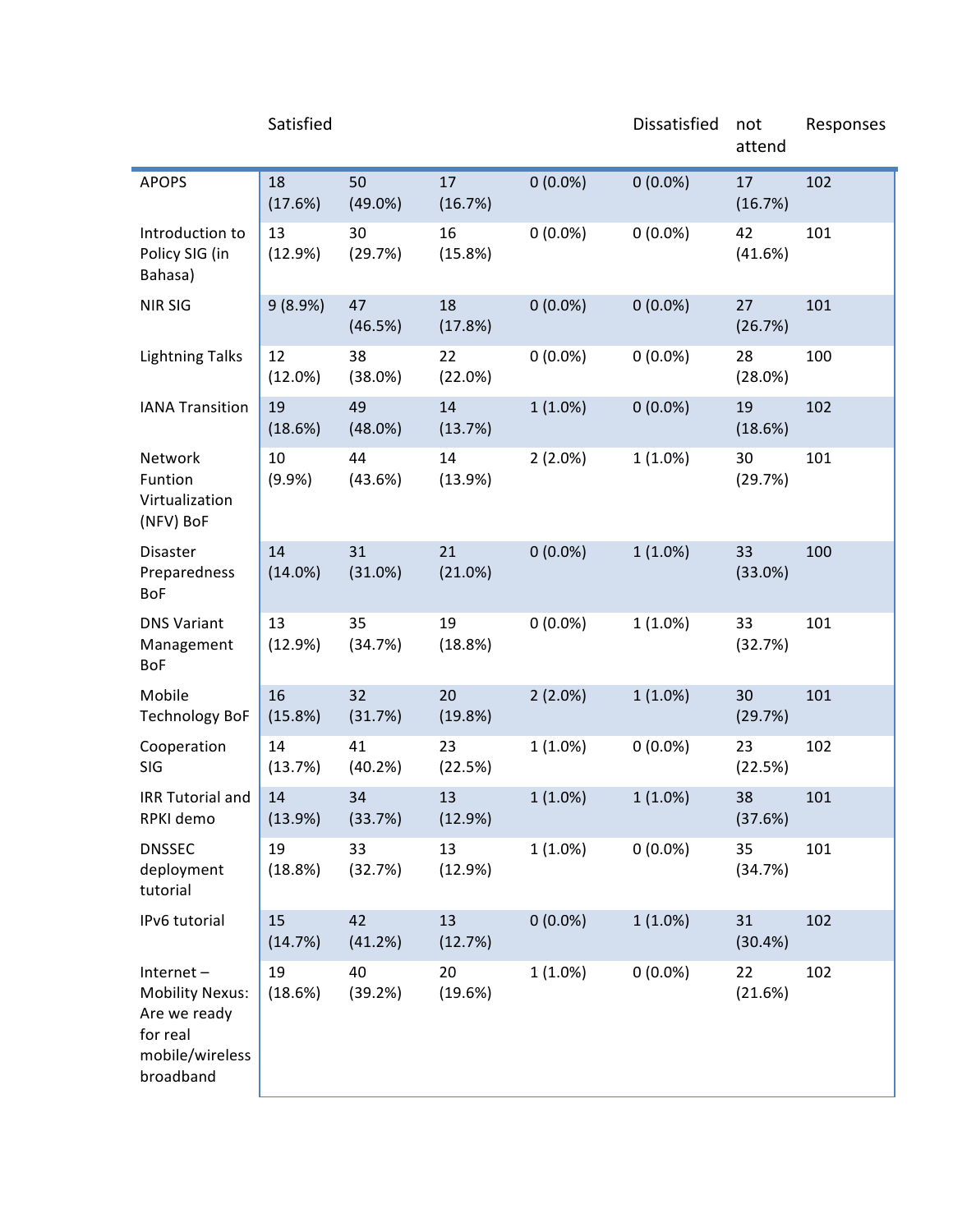|                                                                                                 | Satisfied     |                  |               |            | Dissatisfied | not<br>attend | Responses |
|-------------------------------------------------------------------------------------------------|---------------|------------------|---------------|------------|--------------|---------------|-----------|
| <b>APOPS</b>                                                                                    | 18<br>(17.6%) | 50<br>$(49.0\%)$ | 17<br>(16.7%) | $0(0.0\%)$ | $0(0.0\%)$   | 17<br>(16.7%) | 102       |
| Introduction to<br>Policy SIG (in<br>Bahasa)                                                    | 13<br>(12.9%) | 30<br>(29.7%)    | 16<br>(15.8%) | $0(0.0\%)$ | $0(0.0\%)$   | 42<br>(41.6%) | 101       |
| <b>NIR SIG</b>                                                                                  | 9(8.9%)       | 47<br>(46.5%)    | 18<br>(17.8%) | $0(0.0\%)$ | $0(0.0\%)$   | 27<br>(26.7%) | 101       |
| <b>Lightning Talks</b>                                                                          | 12<br>(12.0%) | 38<br>(38.0%)    | 22<br>(22.0%) | $0(0.0\%)$ | $0(0.0\%)$   | 28<br>(28.0%) | 100       |
| <b>IANA Transition</b>                                                                          | 19<br>(18.6%) | 49<br>(48.0%)    | 14<br>(13.7%) | $1(1.0\%)$ | $0(0.0\%)$   | 19<br>(18.6%) | 102       |
| Network<br>Funtion<br>Virtualization<br>(NFV) BoF                                               | 10<br>(9.9%   | 44<br>(43.6%)    | 14<br>(13.9%) | $2(2.0\%)$ | 1(1.0%)      | 30<br>(29.7%) | 101       |
| <b>Disaster</b><br>Preparedness<br><b>BoF</b>                                                   | 14<br>(14.0%) | 31<br>(31.0%)    | 21<br>(21.0%) | $0(0.0\%)$ | $1(1.0\%)$   | 33<br>(33.0%) | 100       |
| <b>DNS Variant</b><br>Management<br>BoF                                                         | 13<br>(12.9%) | 35<br>(34.7%)    | 19<br>(18.8%) | $0(0.0\%)$ | 1(1.0%)      | 33<br>(32.7%) | 101       |
| Mobile<br><b>Technology BoF</b>                                                                 | 16<br>(15.8%) | 32<br>(31.7%)    | 20<br>(19.8%) | $2(2.0\%)$ | $1(1.0\%)$   | 30<br>(29.7%) | 101       |
| Cooperation<br>SIG                                                                              | 14<br>(13.7%) | 41<br>(40.2%)    | 23<br>(22.5%) | $1(1.0\%)$ | $0(0.0\%)$   | 23<br>(22.5%) | 102       |
| <b>IRR Tutorial and</b><br>RPKI demo                                                            | 14<br>(13.9%) | 34<br>(33.7%)    | 13<br>(12.9%) | $1(1.0\%)$ | $1(1.0\%)$   | 38<br>(37.6%) | 101       |
| <b>DNSSEC</b><br>deployment<br>tutorial                                                         | 19<br>(18.8%) | 33<br>(32.7%)    | 13<br>(12.9%) | $1(1.0\%)$ | $0(0.0\%)$   | 35<br>(34.7%) | 101       |
| IPv6 tutorial                                                                                   | 15<br>(14.7%) | 42<br>(41.2%)    | 13<br>(12.7%) | $0(0.0\%)$ | $1(1.0\%)$   | 31<br>(30.4%) | 102       |
| Internet-<br><b>Mobility Nexus:</b><br>Are we ready<br>for real<br>mobile/wireless<br>broadband | 19<br>(18.6%) | 40<br>(39.2%)    | 20<br>(19.6%) | $1(1.0\%)$ | $0(0.0\%)$   | 22<br>(21.6%) | 102       |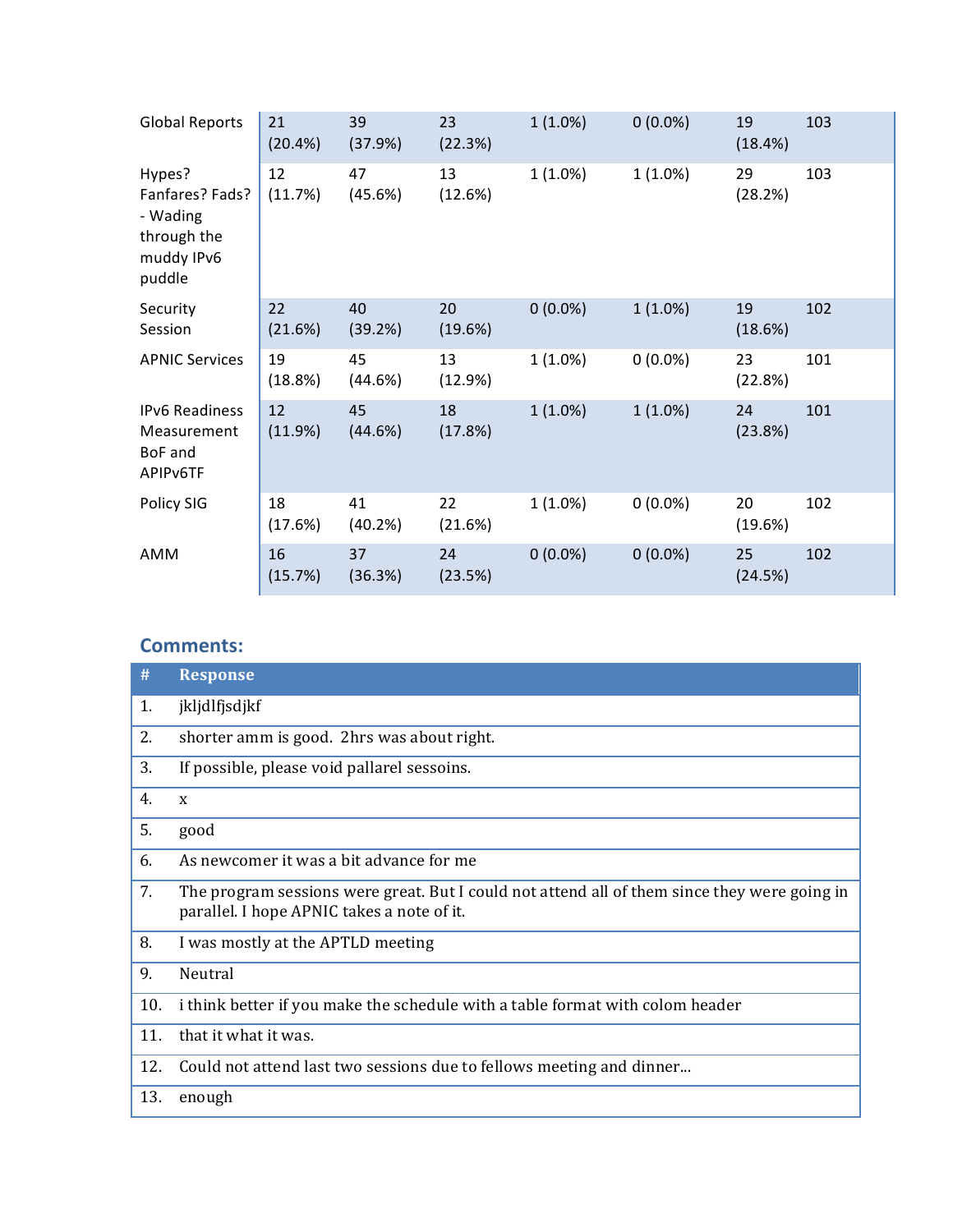| <b>Global Reports</b>                                                        | 21<br>(20.4%) | 39<br>(37.9%) | 23<br>(22.3%) | $1(1.0\%)$ | $0(0.0\%)$ | 19<br>(18.4%) | 103 |
|------------------------------------------------------------------------------|---------------|---------------|---------------|------------|------------|---------------|-----|
| Hypes?<br>Fanfares? Fads?<br>- Wading<br>through the<br>muddy IPv6<br>puddle | 12<br>(11.7%) | 47<br>(45.6%) | 13<br>(12.6%) | $1(1.0\%)$ | 1(1.0%)    | 29<br>(28.2%) | 103 |
| Security<br>Session                                                          | 22<br>(21.6%) | 40<br>(39.2%) | 20<br>(19.6%) | $0(0.0\%)$ | 1(1.0%)    | 19<br>(18.6%) | 102 |
| <b>APNIC Services</b>                                                        | 19<br>(18.8%) | 45<br>(44.6%) | 13<br>(12.9%) | $1(1.0\%)$ | $0(0.0\%)$ | 23<br>(22.8%) | 101 |
| <b>IPv6 Readiness</b><br>Measurement<br>BoF and<br>APIP <sub>v6</sub> TF     | 12<br>(11.9%) | 45<br>(44.6%) | 18<br>(17.8%) | $1(1.0\%)$ | 1(1.0%)    | 24<br>(23.8%) | 101 |
| Policy SIG                                                                   | 18<br>(17.6%) | 41<br>(40.2%) | 22<br>(21.6%) | $1(1.0\%)$ | $0(0.0\%)$ | 20<br>(19.6%) | 102 |
| AMM                                                                          | 16<br>(15.7%) | 37<br>(36.3%) | 24<br>(23.5%) | $0(0.0\%)$ | $0(0.0\%)$ | 25<br>(24.5%) | 102 |

| #   | <b>Response</b>                                                                                                                            |
|-----|--------------------------------------------------------------------------------------------------------------------------------------------|
| 1.  | jkljdlfjsdjkf                                                                                                                              |
| 2.  | shorter amm is good. 2hrs was about right.                                                                                                 |
| 3.  | If possible, please void pallarel sessoins.                                                                                                |
| 4.  | $\mathbf{x}$                                                                                                                               |
| 5.  | good                                                                                                                                       |
| 6.  | As newcomer it was a bit advance for me                                                                                                    |
| 7.  | The program sessions were great. But I could not attend all of them since they were going in<br>parallel. I hope APNIC takes a note of it. |
| 8.  | I was mostly at the APTLD meeting                                                                                                          |
| 9.  | Neutral                                                                                                                                    |
| 10. | i think better if you make the schedule with a table format with colom header                                                              |
| 11. | that it what it was.                                                                                                                       |
| 12. | Could not attend last two sessions due to fellows meeting and dinner                                                                       |
| 13. | enough                                                                                                                                     |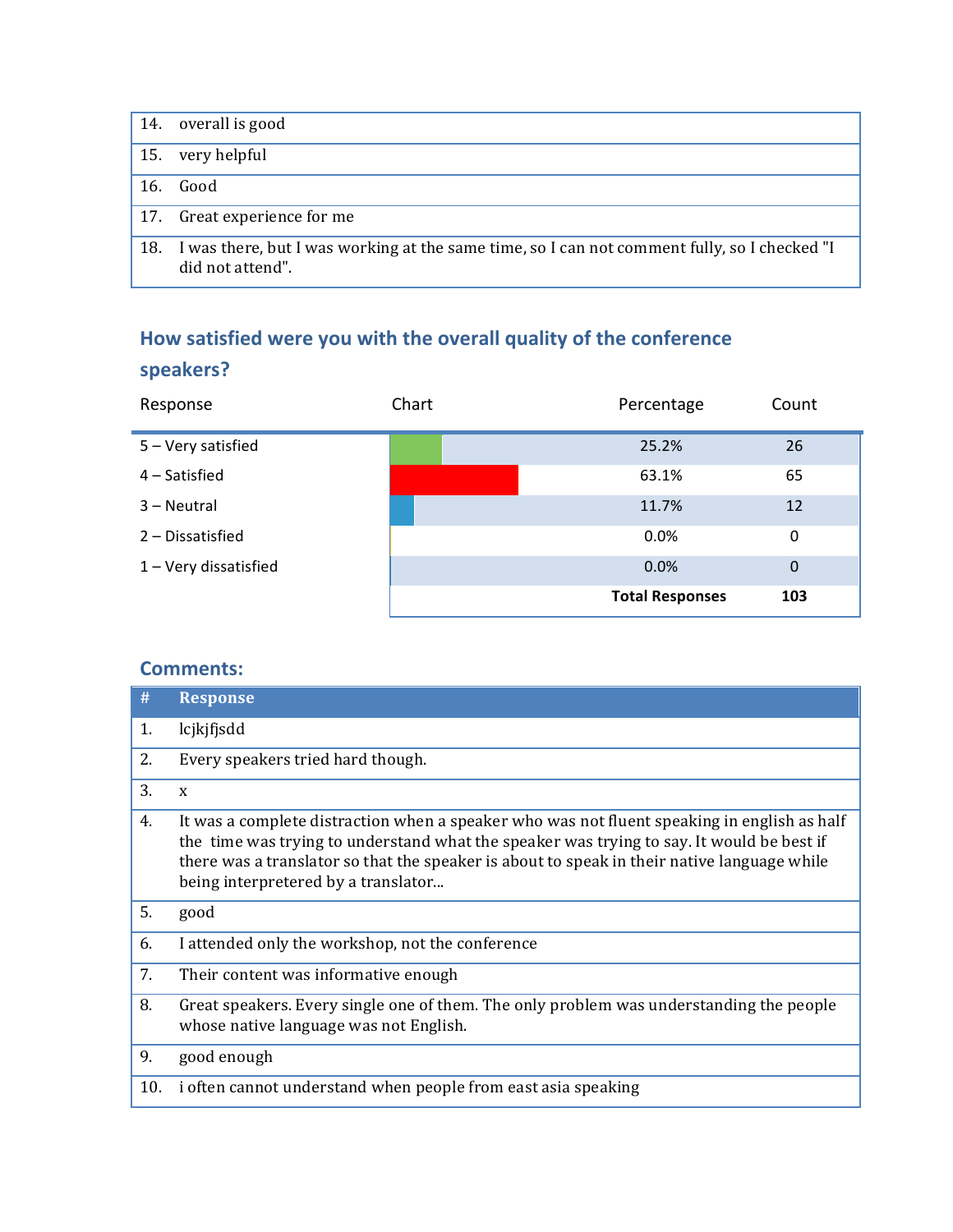| 14.         | overall is good                                                                                                  |
|-------------|------------------------------------------------------------------------------------------------------------------|
| 15.         | very helpful                                                                                                     |
| 16.         | Good                                                                                                             |
| $\vert$ 17. | Great experience for me                                                                                          |
| 18.         | I was there, but I was working at the same time, so I can not comment fully, so I checked "I<br>did not attend". |

# How satisfied were you with the overall quality of the conference

### **speakers?**

| Response              | Chart | Percentage             | Count          |
|-----------------------|-------|------------------------|----------------|
| 5 - Very satisfied    |       | 25.2%                  | 26             |
| 4 – Satisfied         |       | 63.1%                  | 65             |
| 3 – Neutral           |       | 11.7%                  | 12             |
| 2 - Dissatisfied      |       | 0.0%                   | 0              |
| 1 - Very dissatisfied |       | 0.0%                   | $\overline{0}$ |
|                       |       | <b>Total Responses</b> | 103            |

| #   | <b>Response</b>                                                                                                                                                                                                                                                                                                                |
|-----|--------------------------------------------------------------------------------------------------------------------------------------------------------------------------------------------------------------------------------------------------------------------------------------------------------------------------------|
| 1.  | lcjkjfjsdd                                                                                                                                                                                                                                                                                                                     |
| 2.  | Every speakers tried hard though.                                                                                                                                                                                                                                                                                              |
| 3.  | $\mathbf x$                                                                                                                                                                                                                                                                                                                    |
| 4.  | It was a complete distraction when a speaker who was not fluent speaking in english as half<br>the time was trying to understand what the speaker was trying to say. It would be best if<br>there was a translator so that the speaker is about to speak in their native language while<br>being interpretered by a translator |
| 5.  | good                                                                                                                                                                                                                                                                                                                           |
| 6.  | I attended only the workshop, not the conference                                                                                                                                                                                                                                                                               |
| 7.  | Their content was informative enough                                                                                                                                                                                                                                                                                           |
| 8.  | Great speakers. Every single one of them. The only problem was understanding the people<br>whose native language was not English.                                                                                                                                                                                              |
| 9.  | good enough                                                                                                                                                                                                                                                                                                                    |
| 10. | i often cannot understand when people from east asia speaking                                                                                                                                                                                                                                                                  |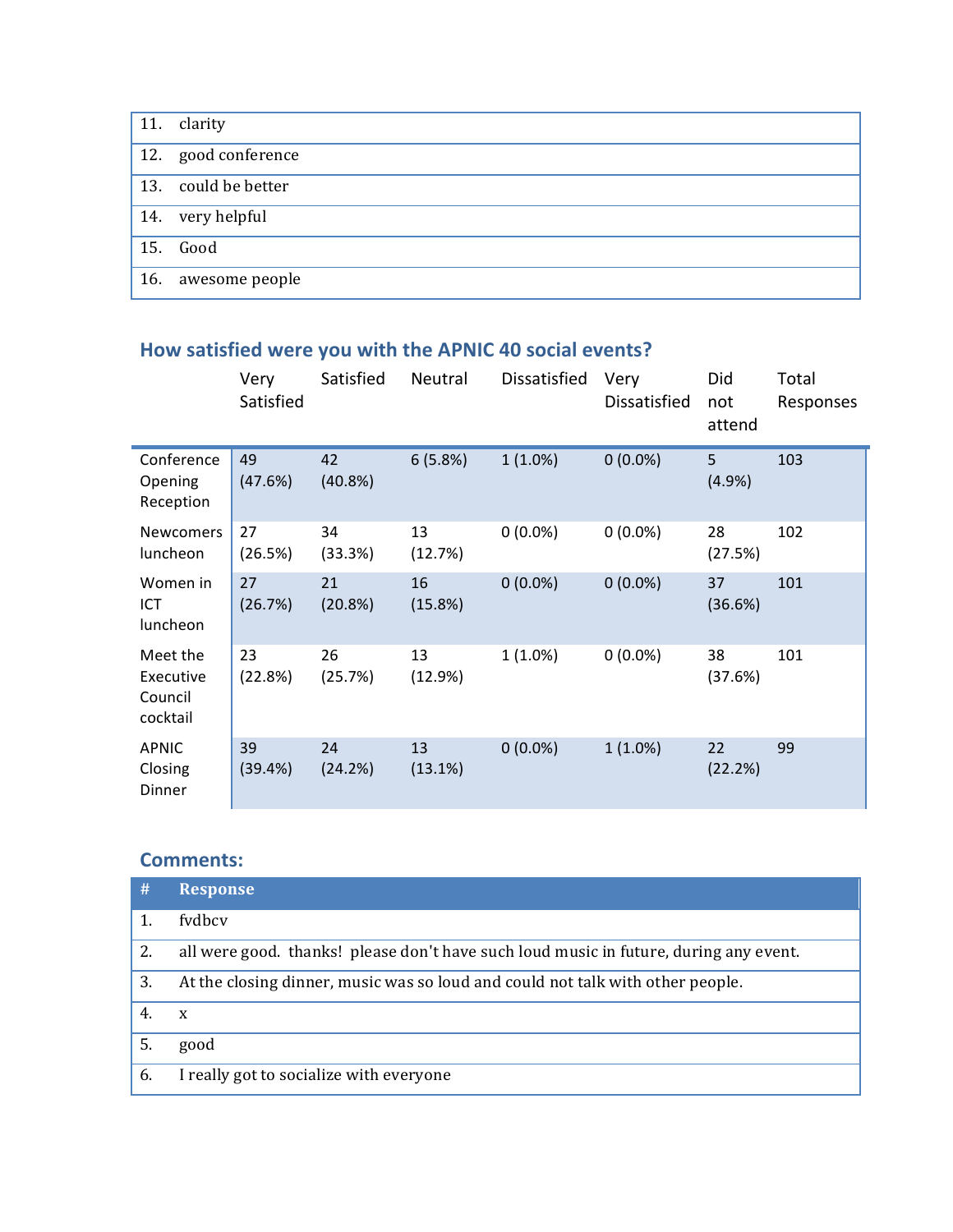| 11. $clarity$       |
|---------------------|
| 12. good conference |
| 13. could be better |
| 14. very helpful    |
| 15. Good            |
| 16. awesome people  |

### How satisfied were you with the APNIC 40 social events?

|                                              | Very<br>Satisfied | Satisfied     | Neutral       | Dissatisfied | Very<br>Dissatisfied | Did<br>not<br>attend | Total<br>Responses |
|----------------------------------------------|-------------------|---------------|---------------|--------------|----------------------|----------------------|--------------------|
| Conference<br>Opening<br>Reception           | 49<br>(47.6%)     | 42<br>(40.8%) | 6(5.8%)       | $1(1.0\%)$   | $0(0.0\%)$           | 5<br>(4.9%)          | 103                |
| <b>Newcomers</b><br>luncheon                 | 27<br>(26.5%)     | 34<br>(33.3%) | 13<br>(12.7%) | $0(0.0\%)$   | $0(0.0\%)$           | 28<br>(27.5%)        | 102                |
| Women in<br>ICT<br>luncheon                  | 27<br>(26.7%)     | 21<br>(20.8%) | 16<br>(15.8%) | $0(0.0\%)$   | $0(0.0\%)$           | 37<br>(36.6%)        | 101                |
| Meet the<br>Executive<br>Council<br>cocktail | 23<br>(22.8%)     | 26<br>(25.7%) | 13<br>(12.9%) | 1(1.0%)      | $0(0.0\%)$           | 38<br>(37.6%)        | 101                |
| APNIC<br>Closing<br>Dinner                   | 39<br>(39.4%)     | 24<br>(24.2%) | 13<br>(13.1%) | $0(0.0\%)$   | $1(1.0\%)$           | 22<br>(22.2%)        | 99                 |

| #  | <b>Response</b>                                                                       |
|----|---------------------------------------------------------------------------------------|
|    | fydbcy                                                                                |
| 2. | all were good. thanks! please don't have such loud music in future, during any event. |
| 3. | At the closing dinner, music was so loud and could not talk with other people.        |
|    | X                                                                                     |
| 5. | good                                                                                  |
| 6. | I really got to socialize with everyone                                               |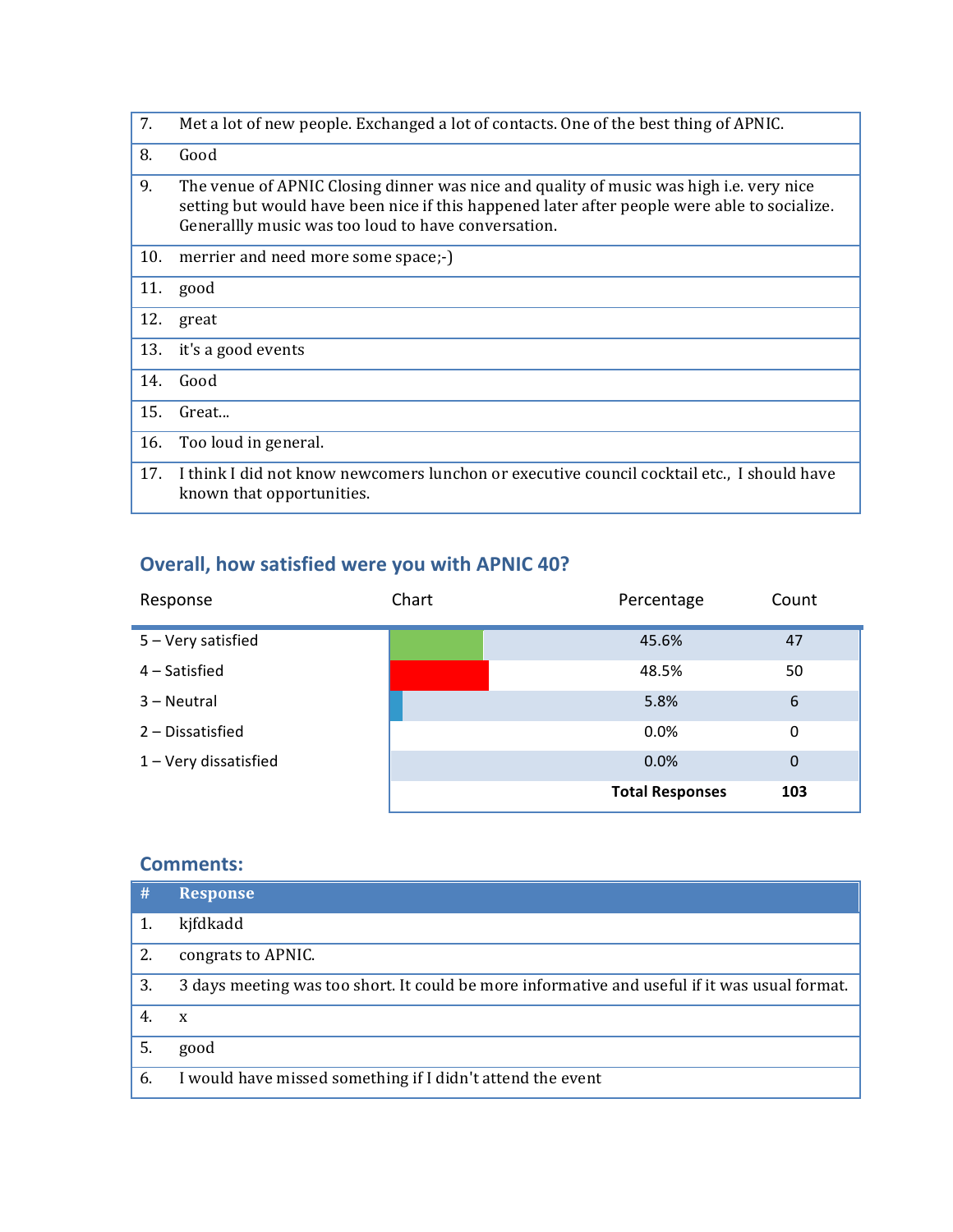| 7.  | Met a lot of new people. Exchanged a lot of contacts. One of the best thing of APNIC.                                                                                                                                                                 |
|-----|-------------------------------------------------------------------------------------------------------------------------------------------------------------------------------------------------------------------------------------------------------|
| 8.  | Good                                                                                                                                                                                                                                                  |
| 9.  | The venue of APNIC Closing dinner was nice and quality of music was high <i>i.e.</i> very nice<br>setting but would have been nice if this happened later after people were able to socialize.<br>Generallly music was too loud to have conversation. |
| 10. | merrier and need more some space;-)                                                                                                                                                                                                                   |
| 11. | good                                                                                                                                                                                                                                                  |
| 12. | great                                                                                                                                                                                                                                                 |
| 13. | it's a good events                                                                                                                                                                                                                                    |
| 14. | Good                                                                                                                                                                                                                                                  |
| 15. | Great                                                                                                                                                                                                                                                 |
| 16. | Too loud in general.                                                                                                                                                                                                                                  |
| 17. | I think I did not know new comers lunchon or executive council cocktail etc., I should have<br>known that opportunities.                                                                                                                              |

### **Overall, how satisfied were you with APNIC 40?**

| Response              | Chart | Percentage             | Count          |
|-----------------------|-------|------------------------|----------------|
| 5 - Very satisfied    |       | 45.6%                  | 47             |
| 4 – Satisfied         |       | 48.5%                  | 50             |
| 3 – Neutral           |       | 5.8%                   | 6              |
| 2 - Dissatisfied      |       | 0.0%                   | 0              |
| 1 - Very dissatisfied |       | 0.0%                   | $\overline{0}$ |
|                       |       | <b>Total Responses</b> | 103            |

| #  | <b>Response</b>                                                                               |
|----|-----------------------------------------------------------------------------------------------|
|    | kjfdkadd                                                                                      |
| 2. | congrats to APNIC.                                                                            |
| 3. | 3 days meeting was too short. It could be more informative and useful if it was usual format. |
| 4. | X                                                                                             |
| 5. | good                                                                                          |
| 6. | I would have missed something if I didn't attend the event                                    |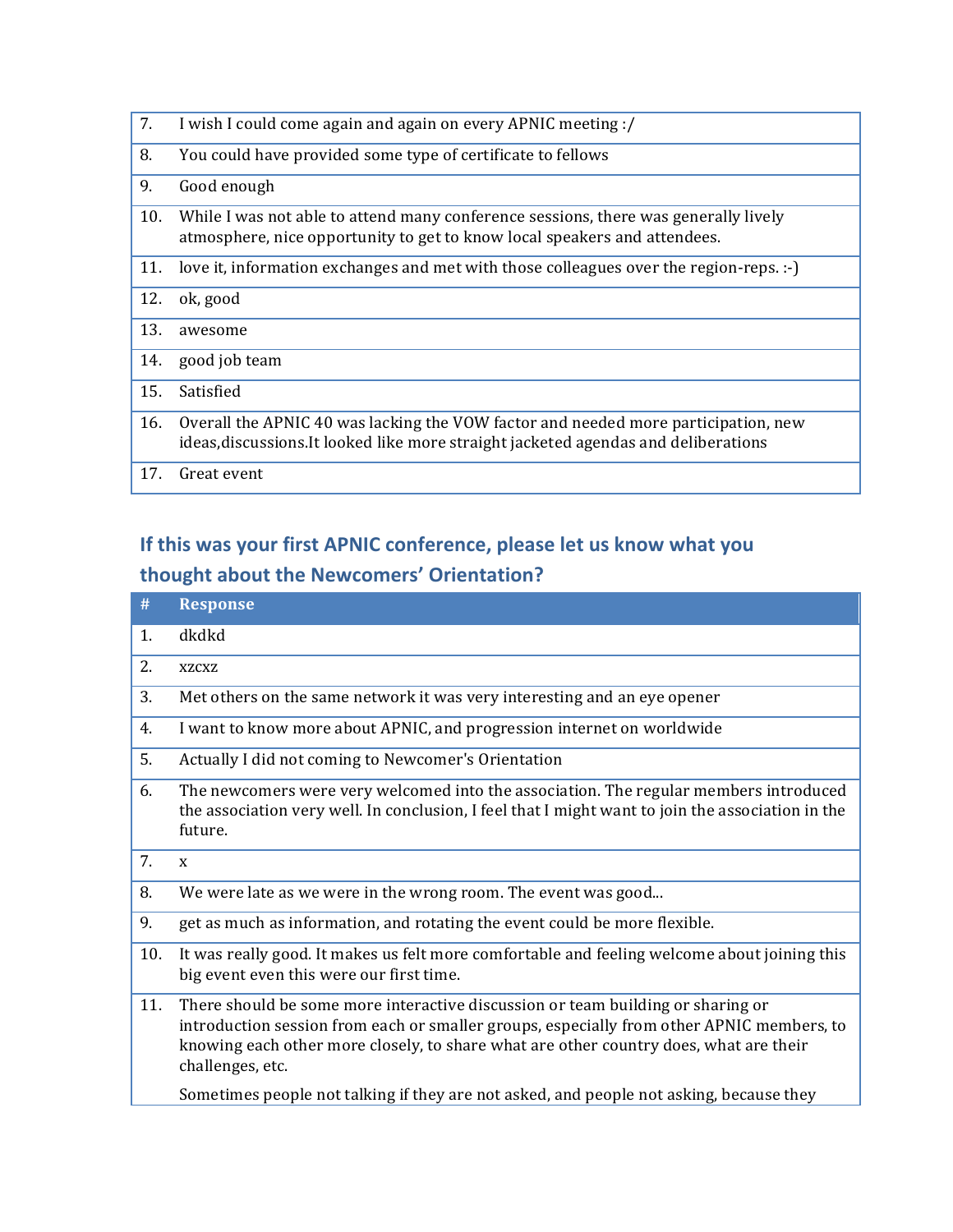| I wish I could come again and again on every APNIC meeting :/                                                                                                             |
|---------------------------------------------------------------------------------------------------------------------------------------------------------------------------|
| You could have provided some type of certificate to fellows                                                                                                               |
| Good enough                                                                                                                                                               |
| While I was not able to attend many conference sessions, there was generally lively<br>atmosphere, nice opportunity to get to know local speakers and attendees.          |
| love it, information exchanges and met with those colleagues over the region-reps. :-                                                                                     |
| ok, good                                                                                                                                                                  |
| awesome                                                                                                                                                                   |
| good job team                                                                                                                                                             |
| Satisfied                                                                                                                                                                 |
| Overall the APNIC 40 was lacking the VOW factor and needed more participation, new<br>ideas, discussions. It looked like more straight jacketed agendas and deliberations |
| Great event                                                                                                                                                               |
|                                                                                                                                                                           |

# If this was your first APNIC conference, please let us know what you **thought about the Newcomers' Orientation?**

| #   | <b>Response</b>                                                                                                                                                                                                                                                                           |
|-----|-------------------------------------------------------------------------------------------------------------------------------------------------------------------------------------------------------------------------------------------------------------------------------------------|
| 1.  | dkdkd                                                                                                                                                                                                                                                                                     |
| 2.  | <b>XZCXZ</b>                                                                                                                                                                                                                                                                              |
| 3.  | Met others on the same network it was very interesting and an eye opener                                                                                                                                                                                                                  |
| 4.  | I want to know more about APNIC, and progression internet on worldwide                                                                                                                                                                                                                    |
| 5.  | Actually I did not coming to Newcomer's Orientation                                                                                                                                                                                                                                       |
| 6.  | The newcomers were very welcomed into the association. The regular members introduced<br>the association very well. In conclusion, I feel that I might want to join the association in the<br>future.                                                                                     |
| 7.  | $\mathbf{x}$                                                                                                                                                                                                                                                                              |
| 8.  | We were late as we were in the wrong room. The event was good                                                                                                                                                                                                                             |
| 9.  | get as much as information, and rotating the event could be more flexible.                                                                                                                                                                                                                |
| 10. | It was really good. It makes us felt more comfortable and feeling welcome about joining this<br>big event even this were our first time.                                                                                                                                                  |
| 11. | There should be some more interactive discussion or team building or sharing or<br>introduction session from each or smaller groups, especially from other APNIC members, to<br>knowing each other more closely, to share what are other country does, what are their<br>challenges, etc. |
|     | Sometimes people not talking if they are not asked, and people not asking, because they                                                                                                                                                                                                   |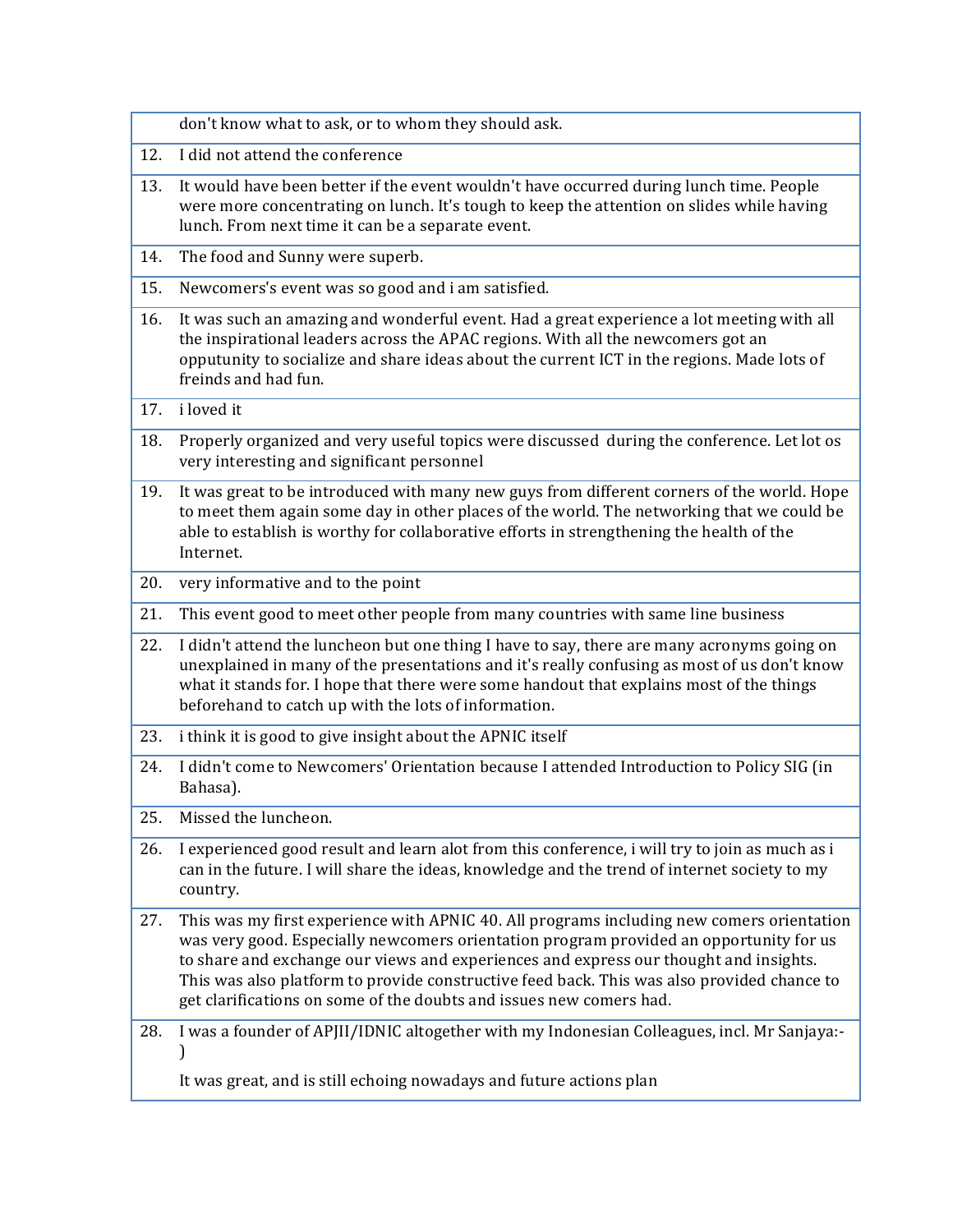| 12.<br>I did not attend the conference<br>13.<br>It would have been better if the event wouldn't have occurred during lunch time. People<br>were more concentrating on lunch. It's tough to keep the attention on slides while having<br>lunch. From next time it can be a separate event.<br>The food and Sunny were superb.<br>14.<br>Newcomers's event was so good and i am satisfied.<br>15.<br>16.<br>It was such an amazing and wonderful event. Had a great experience a lot meeting with all<br>the inspirational leaders across the APAC regions. With all the newcomers got an<br>opputunity to socialize and share ideas about the current ICT in the regions. Made lots of<br>freinds and had fun.<br>i loved it<br>17.<br>Properly organized and very useful topics were discussed during the conference. Let lot os<br>18.<br>very interesting and significant personnel<br>It was great to be introduced with many new guys from different corners of the world. Hope<br>19.<br>to meet them again some day in other places of the world. The networking that we could be<br>able to establish is worthy for collaborative efforts in strengthening the health of the<br>Internet.<br>very informative and to the point<br>20.<br>This event good to meet other people from many countries with same line business<br>21.<br>I didn't attend the luncheon but one thing I have to say, there are many acronyms going on<br>22.<br>unexplained in many of the presentations and it's really confusing as most of us don't know<br>what it stands for. I hope that there were some handout that explains most of the things<br>beforehand to catch up with the lots of information.<br>i think it is good to give insight about the APNIC itself<br>23.<br>I didn't come to Newcomers' Orientation because I attended Introduction to Policy SIG (in<br>24.<br>Bahasa).<br>25.<br>Missed the luncheon.<br>26.<br>I experienced good result and learn alot from this conference, i will try to join as much as i<br>can in the future. I will share the ideas, knowledge and the trend of internet society to my<br>country.<br>27.<br>This was my first experience with APNIC 40. All programs including new comers orientation<br>was very good. Especially newcomers orientation program provided an opportunity for us<br>to share and exchange our views and experiences and express our thought and insights.<br>This was also platform to provide constructive feed back. This was also provided chance to<br>get clarifications on some of the doubts and issues new comers had.<br>I was a founder of APJII/IDNIC altogether with my Indonesian Colleagues, incl. Mr Sanjaya:-<br>28.<br>It was great, and is still echoing nowadays and future actions plan | don't know what to ask, or to whom they should ask. |
|-----------------------------------------------------------------------------------------------------------------------------------------------------------------------------------------------------------------------------------------------------------------------------------------------------------------------------------------------------------------------------------------------------------------------------------------------------------------------------------------------------------------------------------------------------------------------------------------------------------------------------------------------------------------------------------------------------------------------------------------------------------------------------------------------------------------------------------------------------------------------------------------------------------------------------------------------------------------------------------------------------------------------------------------------------------------------------------------------------------------------------------------------------------------------------------------------------------------------------------------------------------------------------------------------------------------------------------------------------------------------------------------------------------------------------------------------------------------------------------------------------------------------------------------------------------------------------------------------------------------------------------------------------------------------------------------------------------------------------------------------------------------------------------------------------------------------------------------------------------------------------------------------------------------------------------------------------------------------------------------------------------------------------------------------------------------------------------------------------------------------------------------------------------------------------------------------------------------------------------------------------------------------------------------------------------------------------------------------------------------------------------------------------------------------------------------------------------------------------------------------------------------------------------------------------------------------------------------------------------------------------------------------------------------------------------------------------------------------------------------------------------------------------------|-----------------------------------------------------|
|                                                                                                                                                                                                                                                                                                                                                                                                                                                                                                                                                                                                                                                                                                                                                                                                                                                                                                                                                                                                                                                                                                                                                                                                                                                                                                                                                                                                                                                                                                                                                                                                                                                                                                                                                                                                                                                                                                                                                                                                                                                                                                                                                                                                                                                                                                                                                                                                                                                                                                                                                                                                                                                                                                                                                                                   |                                                     |
|                                                                                                                                                                                                                                                                                                                                                                                                                                                                                                                                                                                                                                                                                                                                                                                                                                                                                                                                                                                                                                                                                                                                                                                                                                                                                                                                                                                                                                                                                                                                                                                                                                                                                                                                                                                                                                                                                                                                                                                                                                                                                                                                                                                                                                                                                                                                                                                                                                                                                                                                                                                                                                                                                                                                                                                   |                                                     |
|                                                                                                                                                                                                                                                                                                                                                                                                                                                                                                                                                                                                                                                                                                                                                                                                                                                                                                                                                                                                                                                                                                                                                                                                                                                                                                                                                                                                                                                                                                                                                                                                                                                                                                                                                                                                                                                                                                                                                                                                                                                                                                                                                                                                                                                                                                                                                                                                                                                                                                                                                                                                                                                                                                                                                                                   |                                                     |
|                                                                                                                                                                                                                                                                                                                                                                                                                                                                                                                                                                                                                                                                                                                                                                                                                                                                                                                                                                                                                                                                                                                                                                                                                                                                                                                                                                                                                                                                                                                                                                                                                                                                                                                                                                                                                                                                                                                                                                                                                                                                                                                                                                                                                                                                                                                                                                                                                                                                                                                                                                                                                                                                                                                                                                                   |                                                     |
|                                                                                                                                                                                                                                                                                                                                                                                                                                                                                                                                                                                                                                                                                                                                                                                                                                                                                                                                                                                                                                                                                                                                                                                                                                                                                                                                                                                                                                                                                                                                                                                                                                                                                                                                                                                                                                                                                                                                                                                                                                                                                                                                                                                                                                                                                                                                                                                                                                                                                                                                                                                                                                                                                                                                                                                   |                                                     |
|                                                                                                                                                                                                                                                                                                                                                                                                                                                                                                                                                                                                                                                                                                                                                                                                                                                                                                                                                                                                                                                                                                                                                                                                                                                                                                                                                                                                                                                                                                                                                                                                                                                                                                                                                                                                                                                                                                                                                                                                                                                                                                                                                                                                                                                                                                                                                                                                                                                                                                                                                                                                                                                                                                                                                                                   |                                                     |
|                                                                                                                                                                                                                                                                                                                                                                                                                                                                                                                                                                                                                                                                                                                                                                                                                                                                                                                                                                                                                                                                                                                                                                                                                                                                                                                                                                                                                                                                                                                                                                                                                                                                                                                                                                                                                                                                                                                                                                                                                                                                                                                                                                                                                                                                                                                                                                                                                                                                                                                                                                                                                                                                                                                                                                                   |                                                     |
|                                                                                                                                                                                                                                                                                                                                                                                                                                                                                                                                                                                                                                                                                                                                                                                                                                                                                                                                                                                                                                                                                                                                                                                                                                                                                                                                                                                                                                                                                                                                                                                                                                                                                                                                                                                                                                                                                                                                                                                                                                                                                                                                                                                                                                                                                                                                                                                                                                                                                                                                                                                                                                                                                                                                                                                   |                                                     |
|                                                                                                                                                                                                                                                                                                                                                                                                                                                                                                                                                                                                                                                                                                                                                                                                                                                                                                                                                                                                                                                                                                                                                                                                                                                                                                                                                                                                                                                                                                                                                                                                                                                                                                                                                                                                                                                                                                                                                                                                                                                                                                                                                                                                                                                                                                                                                                                                                                                                                                                                                                                                                                                                                                                                                                                   |                                                     |
|                                                                                                                                                                                                                                                                                                                                                                                                                                                                                                                                                                                                                                                                                                                                                                                                                                                                                                                                                                                                                                                                                                                                                                                                                                                                                                                                                                                                                                                                                                                                                                                                                                                                                                                                                                                                                                                                                                                                                                                                                                                                                                                                                                                                                                                                                                                                                                                                                                                                                                                                                                                                                                                                                                                                                                                   |                                                     |
|                                                                                                                                                                                                                                                                                                                                                                                                                                                                                                                                                                                                                                                                                                                                                                                                                                                                                                                                                                                                                                                                                                                                                                                                                                                                                                                                                                                                                                                                                                                                                                                                                                                                                                                                                                                                                                                                                                                                                                                                                                                                                                                                                                                                                                                                                                                                                                                                                                                                                                                                                                                                                                                                                                                                                                                   |                                                     |
|                                                                                                                                                                                                                                                                                                                                                                                                                                                                                                                                                                                                                                                                                                                                                                                                                                                                                                                                                                                                                                                                                                                                                                                                                                                                                                                                                                                                                                                                                                                                                                                                                                                                                                                                                                                                                                                                                                                                                                                                                                                                                                                                                                                                                                                                                                                                                                                                                                                                                                                                                                                                                                                                                                                                                                                   |                                                     |
|                                                                                                                                                                                                                                                                                                                                                                                                                                                                                                                                                                                                                                                                                                                                                                                                                                                                                                                                                                                                                                                                                                                                                                                                                                                                                                                                                                                                                                                                                                                                                                                                                                                                                                                                                                                                                                                                                                                                                                                                                                                                                                                                                                                                                                                                                                                                                                                                                                                                                                                                                                                                                                                                                                                                                                                   |                                                     |
|                                                                                                                                                                                                                                                                                                                                                                                                                                                                                                                                                                                                                                                                                                                                                                                                                                                                                                                                                                                                                                                                                                                                                                                                                                                                                                                                                                                                                                                                                                                                                                                                                                                                                                                                                                                                                                                                                                                                                                                                                                                                                                                                                                                                                                                                                                                                                                                                                                                                                                                                                                                                                                                                                                                                                                                   |                                                     |
|                                                                                                                                                                                                                                                                                                                                                                                                                                                                                                                                                                                                                                                                                                                                                                                                                                                                                                                                                                                                                                                                                                                                                                                                                                                                                                                                                                                                                                                                                                                                                                                                                                                                                                                                                                                                                                                                                                                                                                                                                                                                                                                                                                                                                                                                                                                                                                                                                                                                                                                                                                                                                                                                                                                                                                                   |                                                     |
|                                                                                                                                                                                                                                                                                                                                                                                                                                                                                                                                                                                                                                                                                                                                                                                                                                                                                                                                                                                                                                                                                                                                                                                                                                                                                                                                                                                                                                                                                                                                                                                                                                                                                                                                                                                                                                                                                                                                                                                                                                                                                                                                                                                                                                                                                                                                                                                                                                                                                                                                                                                                                                                                                                                                                                                   |                                                     |
|                                                                                                                                                                                                                                                                                                                                                                                                                                                                                                                                                                                                                                                                                                                                                                                                                                                                                                                                                                                                                                                                                                                                                                                                                                                                                                                                                                                                                                                                                                                                                                                                                                                                                                                                                                                                                                                                                                                                                                                                                                                                                                                                                                                                                                                                                                                                                                                                                                                                                                                                                                                                                                                                                                                                                                                   |                                                     |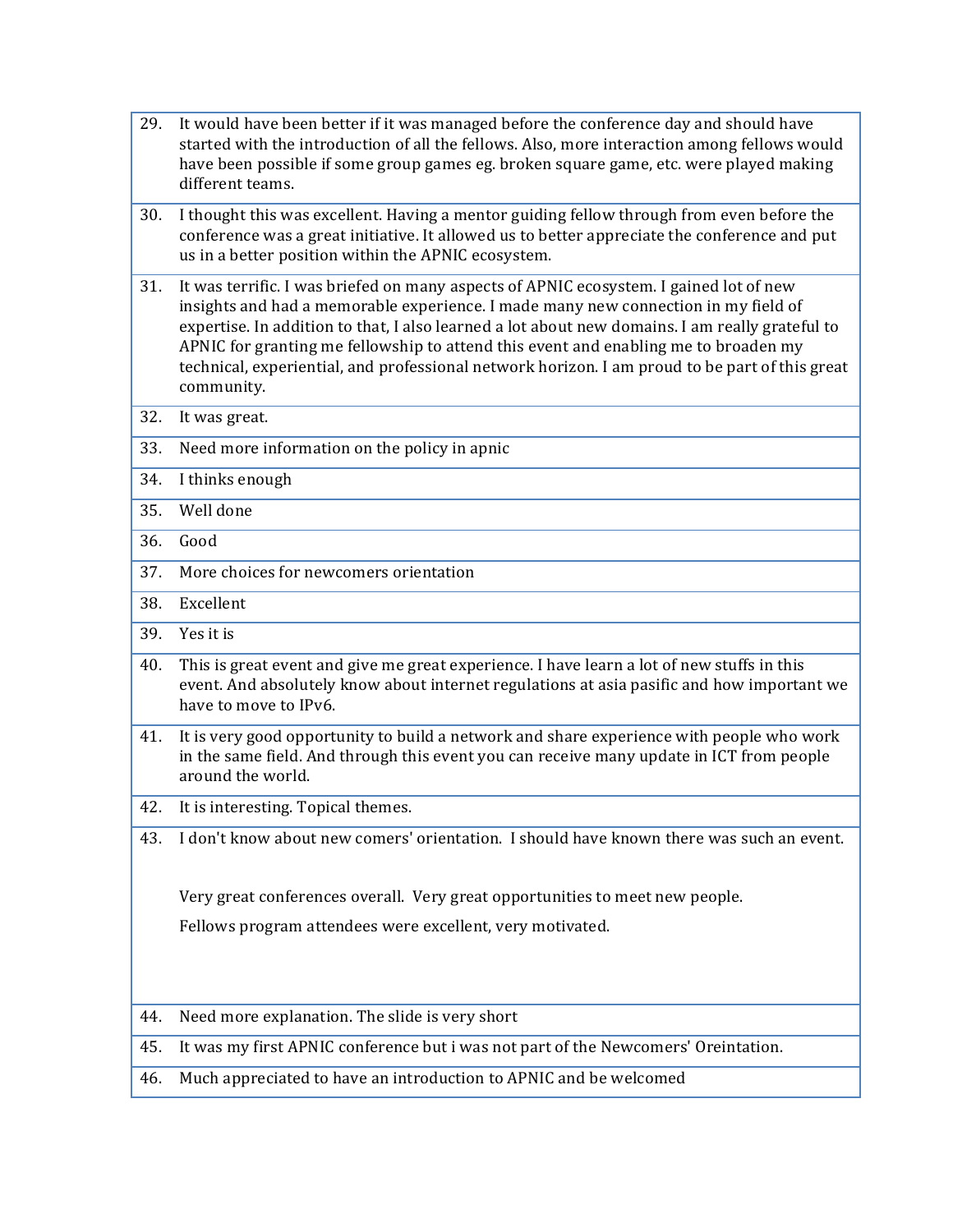29. It would have been better if it was managed before the conference day and should have started with the introduction of all the fellows. Also, more interaction among fellows would have been possible if some group games eg. broken square game, etc. were played making different teams. 30. I thought this was excellent. Having a mentor guiding fellow through from even before the conference was a great initiative. It allowed us to better appreciate the conference and put us in a better position within the APNIC ecosystem. 31. It was terrific. I was briefed on many aspects of APNIC ecosystem. I gained lot of new insights and had a memorable experience. I made many new connection in my field of expertise. In addition to that, I also learned a lot about new domains. I am really grateful to APNIC for granting me fellowship to attend this event and enabling me to broaden my technical, experiential, and professional network horizon. I am proud to be part of this great community. 32. It was great. 33. Need more information on the policy in apnic 34. I thinks enough 35. Well done 36. Good 37. More choices for newcomers orientation 38. Excellent 39. Yes it is 40. This is great event and give me great experience. I have learn a lot of new stuffs in this event. And absolutely know about internet regulations at asia pasific and how important we have to move to IPv6. 41. It is very good opportunity to build a network and share experience with people who work in the same field. And through this event you can receive many update in ICT from people around the world. 42. It is interesting. Topical themes. 43. I don't know about new comers' orientation. I should have known there was such an event. Very great conferences overall. Very great opportunities to meet new people. Fellows program attendees were excellent, very motivated. 44. Need more explanation. The slide is very short 45. It was my first APNIC conference but i was not part of the Newcomers' Oreintation. 46. Much appreciated to have an introduction to APNIC and be welcomed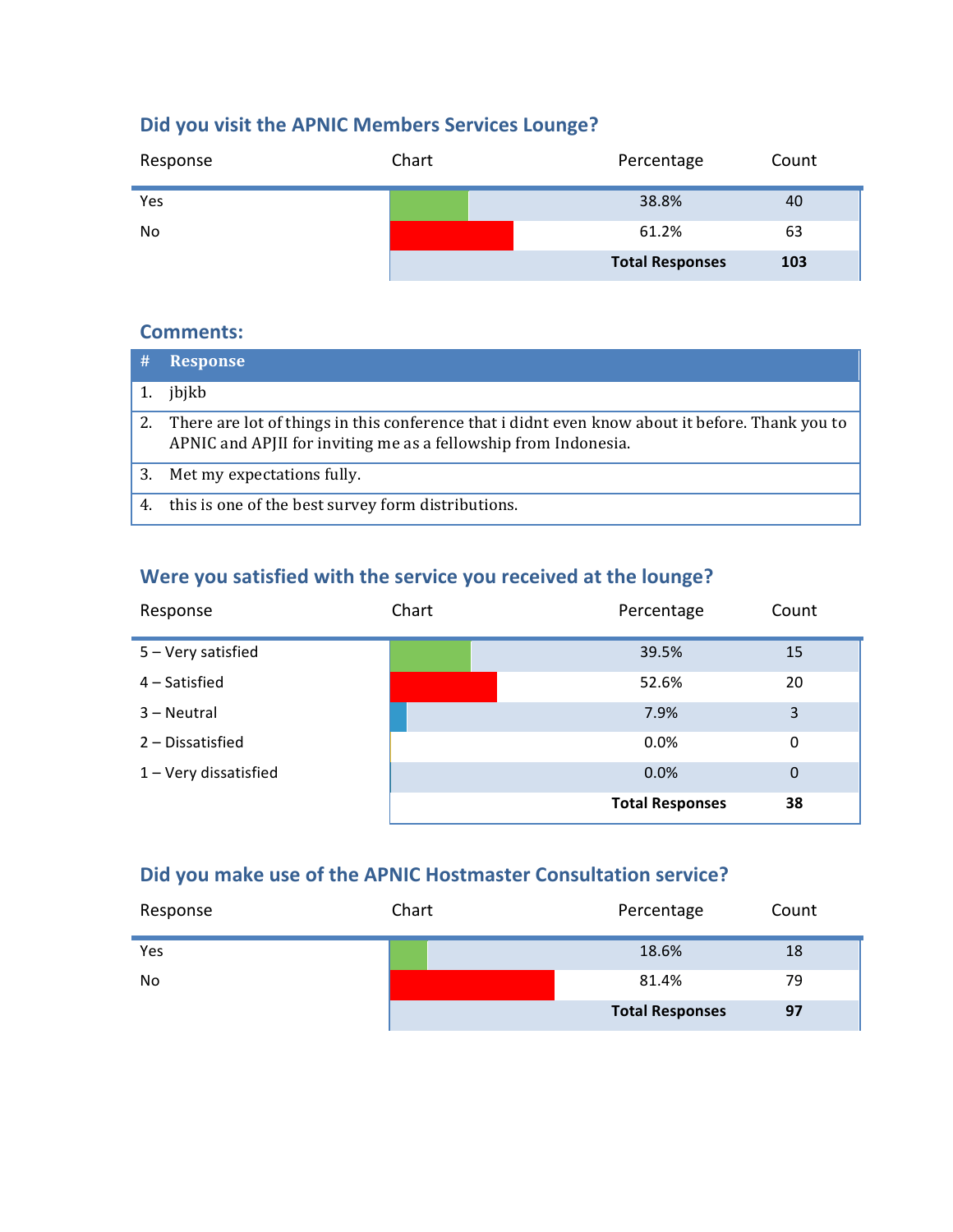### **Did you visit the APNIC Members Services Lounge?**

| Response | Chart | Percentage             | Count |
|----------|-------|------------------------|-------|
| Yes      |       | 38.8%                  | 40    |
| No.      |       | 61.2%                  | 63    |
|          |       | <b>Total Responses</b> | 103   |

#### **Comments:**

| #  | <b>Response</b>                                                                                                                                                    |
|----|--------------------------------------------------------------------------------------------------------------------------------------------------------------------|
|    | jbjkb                                                                                                                                                              |
| 2. | There are lot of things in this conference that i didnt even know about it before. Thank you to<br>APNIC and APJII for inviting me as a fellowship from Indonesia. |
| 3. | Met my expectations fully.                                                                                                                                         |
| 4. | this is one of the best survey form distributions.                                                                                                                 |

### Were you satisfied with the service you received at the lounge?

| Response              | Chart | Percentage             | Count       |
|-----------------------|-------|------------------------|-------------|
| 5 - Very satisfied    |       | 39.5%                  | 15          |
| 4 – Satisfied         |       | 52.6%                  | 20          |
| 3 - Neutral           |       | 7.9%                   | 3           |
| 2 - Dissatisfied      |       | 0.0%                   | 0           |
| 1 - Very dissatisfied |       | 0.0%                   | $\mathbf 0$ |
|                       |       | <b>Total Responses</b> | 38          |

### Did you make use of the APNIC Hostmaster Consultation service?

| Response | Chart | Percentage             | Count |
|----------|-------|------------------------|-------|
| Yes      |       | 18.6%                  | 18    |
| No.      |       | 81.4%                  | 79    |
|          |       | <b>Total Responses</b> | 97    |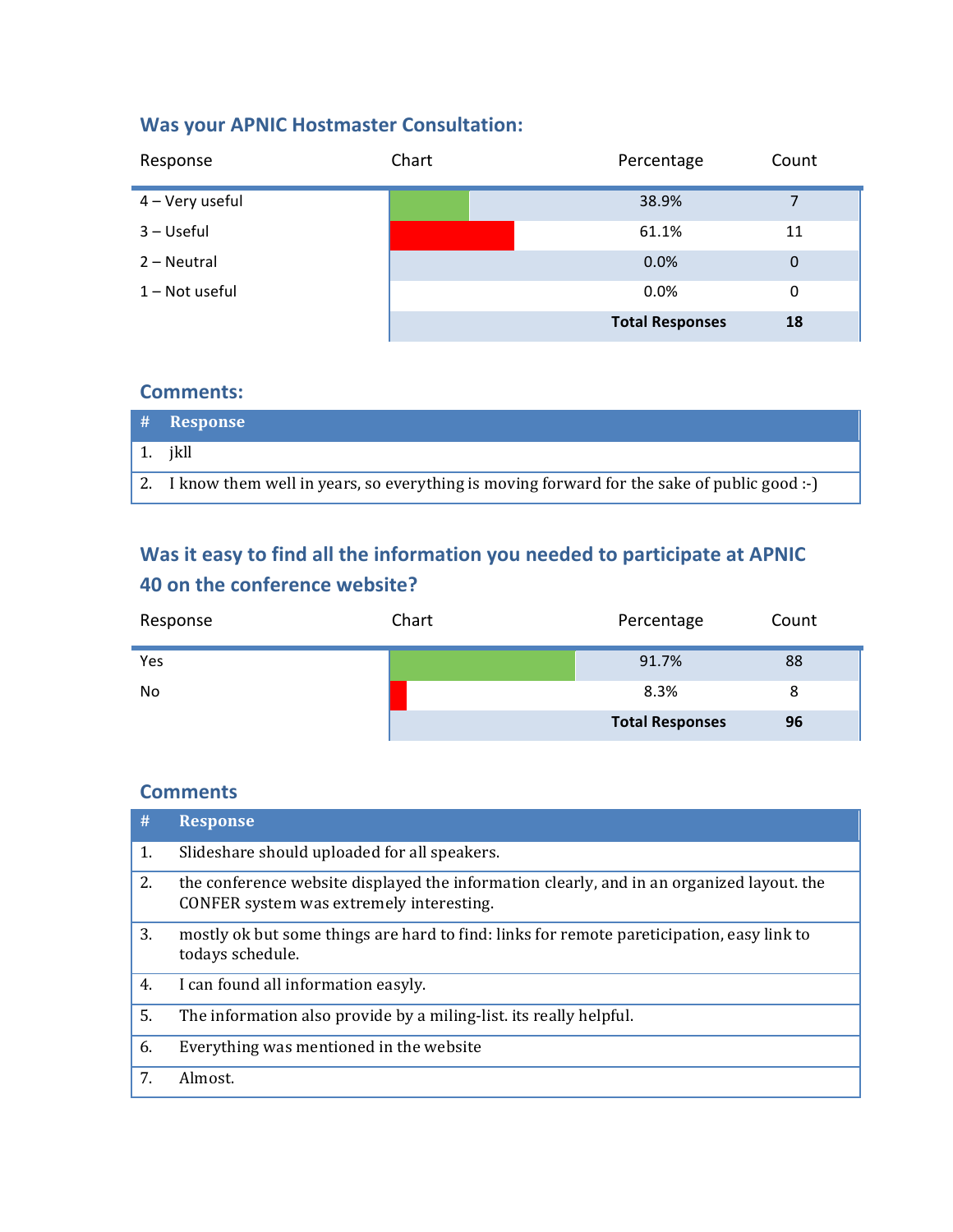### **Was your APNIC Hostmaster Consultation:**

| Response        | Chart | Percentage             | Count |
|-----------------|-------|------------------------|-------|
| 4 – Very useful |       | 38.9%                  |       |
| 3 - Useful      |       | 61.1%                  | 11    |
| 2 - Neutral     |       | 0.0%                   | 0     |
| 1 - Not useful  |       | 0.0%                   | 0     |
|                 |       | <b>Total Responses</b> | 18    |

#### **Comments:**

| # Response                                                                                   |
|----------------------------------------------------------------------------------------------|
| 1. ikll                                                                                      |
| 2. I know them well in years, so everything is moving forward for the sake of public good :- |

### **Was it easy to find all the information you needed to participate at APNIC 40 on the conference website?**

| Response  | Chart | Percentage             | Count |
|-----------|-------|------------------------|-------|
| Yes       |       | 91.7%                  | 88    |
| <b>No</b> |       | 8.3%                   | 8     |
|           |       | <b>Total Responses</b> | 96    |

| #  | <b>Response</b>                                                                                                                       |
|----|---------------------------------------------------------------------------------------------------------------------------------------|
| 1. | Slideshare should uploaded for all speakers.                                                                                          |
| 2. | the conference website displayed the information clearly, and in an organized layout. the<br>CONFER system was extremely interesting. |
| 3. | mostly ok but some things are hard to find: links for remote pareticipation, easy link to<br>todays schedule.                         |
| 4. | I can found all information easyly.                                                                                                   |
| 5. | The information also provide by a miling-list, its really helpful.                                                                    |
| 6. | Everything was mentioned in the website                                                                                               |
| 7. | Almost.                                                                                                                               |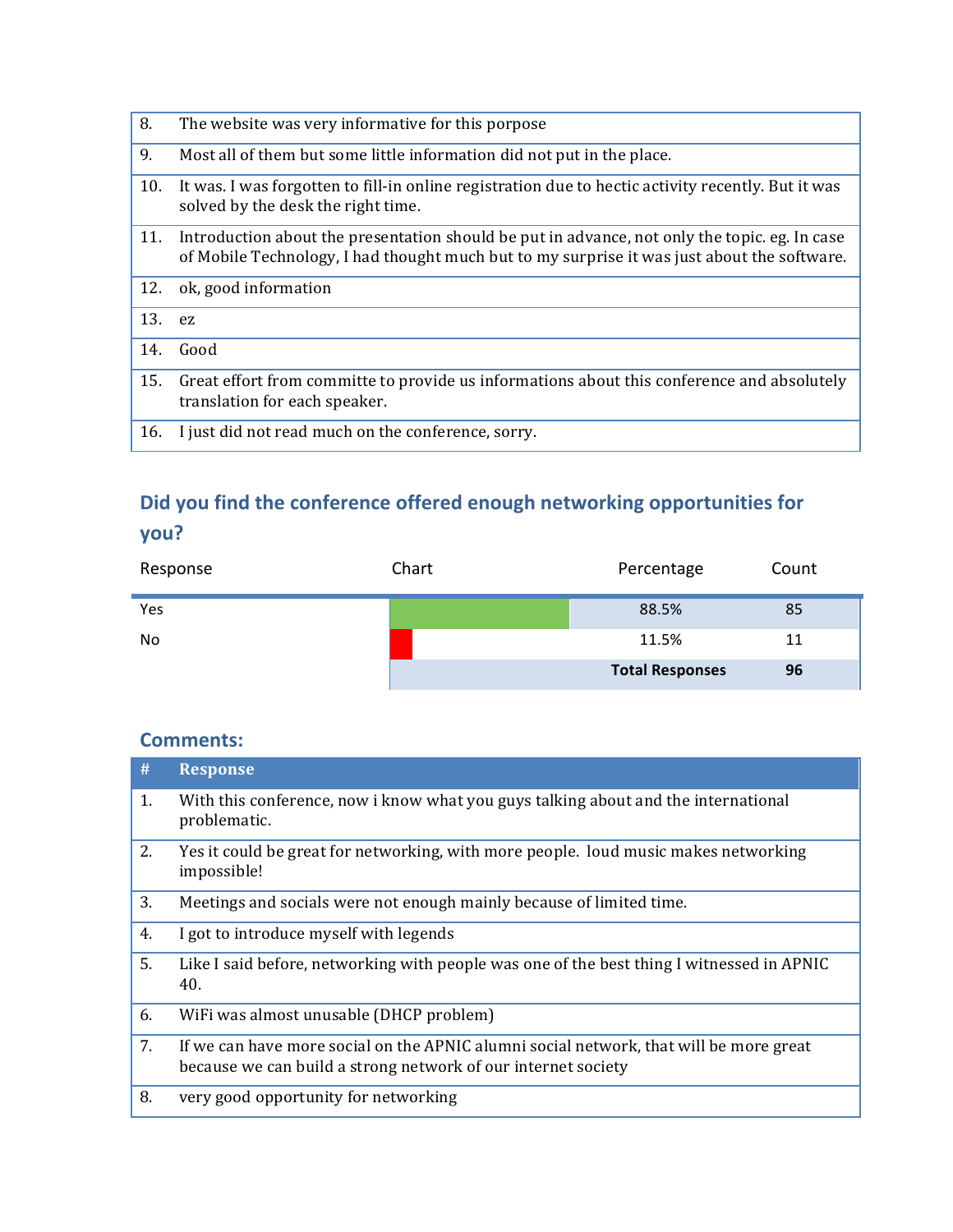| 8.     | The website was very informative for this porpose                                                                                                                                            |
|--------|----------------------------------------------------------------------------------------------------------------------------------------------------------------------------------------------|
| 9.     | Most all of them but some little information did not put in the place.                                                                                                                       |
| 10.    | It was. I was forgotten to fill-in online registration due to hectic activity recently. But it was<br>solved by the desk the right time.                                                     |
| 11.    | Introduction about the presentation should be put in advance, not only the topic. eg. In case<br>of Mobile Technology, I had thought much but to my surprise it was just about the software. |
| 12.    | ok, good information                                                                                                                                                                         |
| 13. ez |                                                                                                                                                                                              |
| 14.    | Good                                                                                                                                                                                         |
| 15.    | Great effort from committe to provide us informations about this conference and absolutely<br>translation for each speaker.                                                                  |
| 16.    | I just did not read much on the conference, sorry.                                                                                                                                           |

# Did you find the conference offered enough networking opportunities for **you?**

| Response       | Chart | Percentage             | Count |
|----------------|-------|------------------------|-------|
| Yes            |       | 88.5%                  | 85    |
| N <sub>o</sub> |       | 11.5%                  | 11    |
|                |       | <b>Total Responses</b> | 96    |

| #  | <b>Response</b>                                                                                                                                         |
|----|---------------------------------------------------------------------------------------------------------------------------------------------------------|
| 1. | With this conference, now i know what you guys talking about and the international<br>problematic.                                                      |
| 2. | Yes it could be great for networking, with more people. loud music makes networking<br>impossible!                                                      |
| 3. | Meetings and socials were not enough mainly because of limited time.                                                                                    |
| 4. | I got to introduce myself with legends                                                                                                                  |
| 5. | Like I said before, networking with people was one of the best thing I witnessed in APNIC<br>40.                                                        |
| 6. | WiFi was almost unusable (DHCP problem)                                                                                                                 |
| 7. | If we can have more social on the APNIC alumni social network, that will be more great<br>because we can build a strong network of our internet society |
| 8. | very good opportunity for networking                                                                                                                    |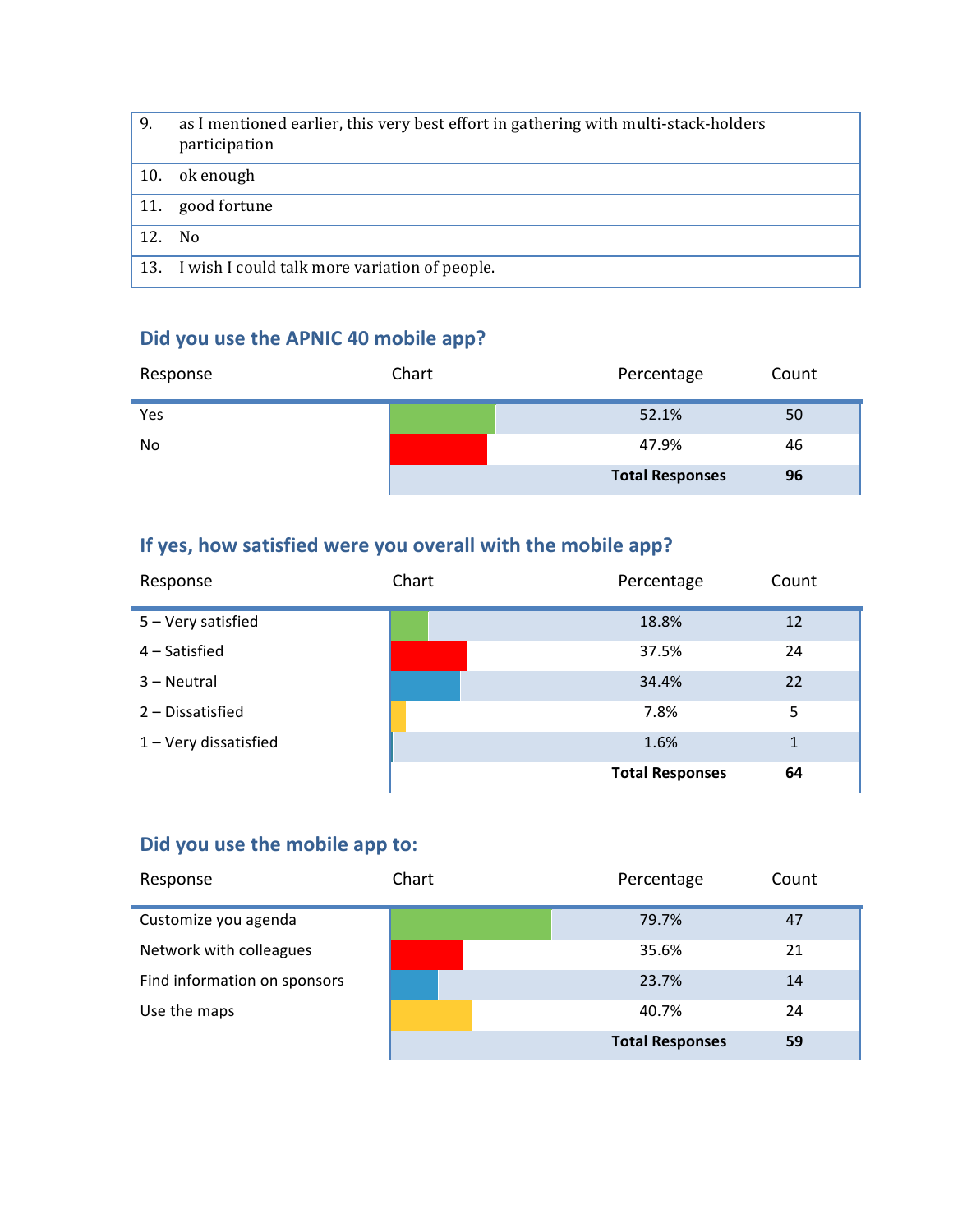| 9.  | as I mentioned earlier, this very best effort in gathering with multi-stack-holders<br>participation |
|-----|------------------------------------------------------------------------------------------------------|
| 10. | ok enough                                                                                            |
| 11. | good fortune                                                                                         |
| 12. | No.                                                                                                  |
|     | 13. I wish I could talk more variation of people.                                                    |

### Did you use the APNIC 40 mobile app?

| Response | Chart | Percentage             | Count |
|----------|-------|------------------------|-------|
| Yes      |       | 52.1%                  | 50    |
| No       |       | 47.9%                  | 46    |
|          |       | <b>Total Responses</b> | 96    |

### If yes, how satisfied were you overall with the mobile app?

| Response              | Chart | Percentage             | Count        |
|-----------------------|-------|------------------------|--------------|
| 5 - Very satisfied    |       | 18.8%                  | 12           |
| 4 – Satisfied         |       | 37.5%                  | 24           |
| 3 – Neutral           |       | 34.4%                  | 22           |
| 2 - Dissatisfied      |       | 7.8%                   | 5            |
| 1 - Very dissatisfied |       | 1.6%                   | $\mathbf{1}$ |
|                       |       | <b>Total Responses</b> | 64           |

### Did you use the mobile app to:

| Response                     | Chart | Percentage             | Count |
|------------------------------|-------|------------------------|-------|
| Customize you agenda         |       | 79.7%                  | 47    |
| Network with colleagues      |       | 35.6%                  | 21    |
| Find information on sponsors |       | 23.7%                  | 14    |
| Use the maps                 |       | 40.7%                  | 24    |
|                              |       | <b>Total Responses</b> | 59    |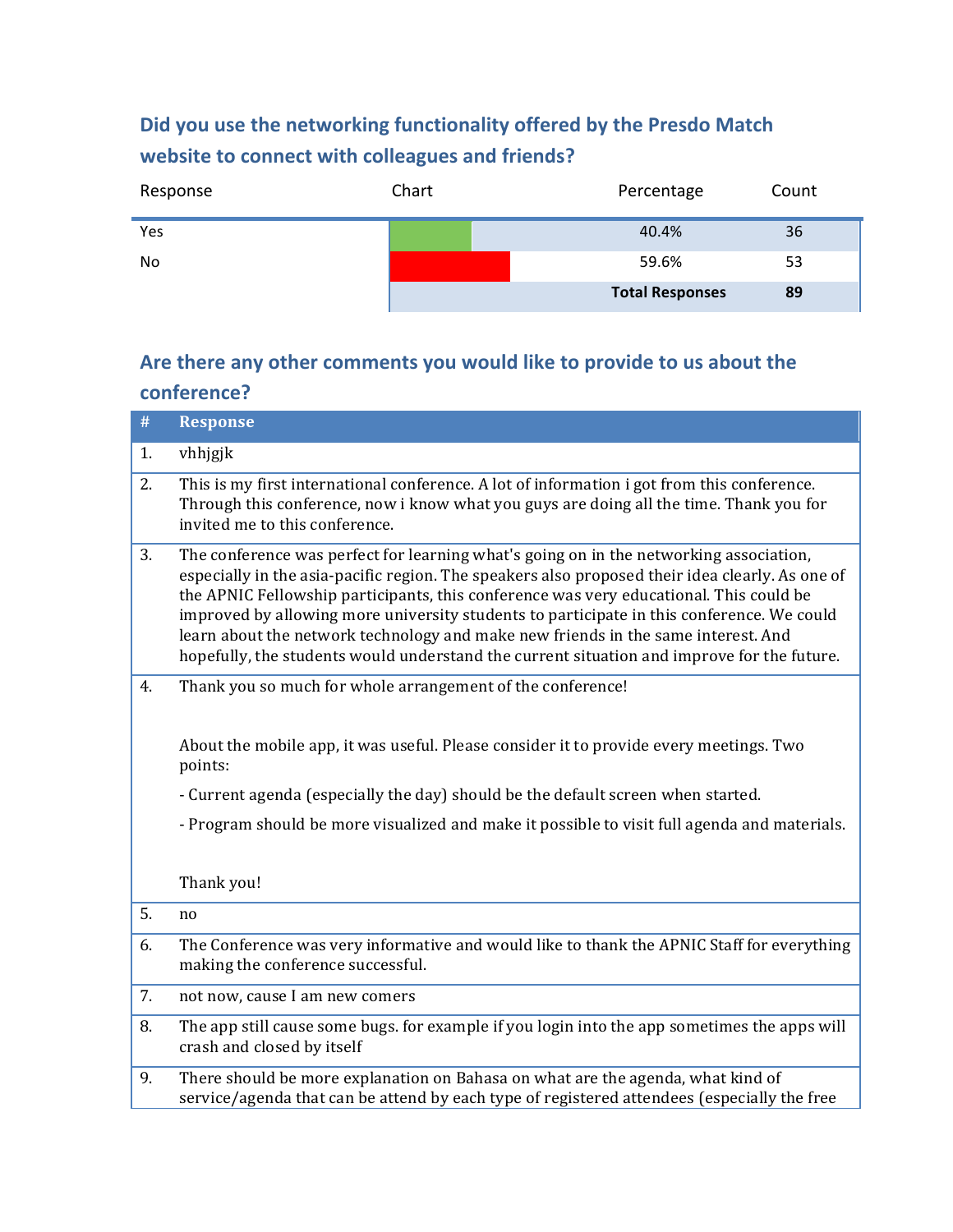### Did you use the networking functionality offered by the Presdo Match website to connect with colleagues and friends?

| Response       | Chart | Percentage             | Count |
|----------------|-------|------------------------|-------|
| Yes            |       | 40.4%                  | 36    |
| N <sub>o</sub> |       | 59.6%                  | 53    |
|                |       | <b>Total Responses</b> | 89    |

### Are there any other comments you would like to provide to us about the **conference?**

| #  | <b>Response</b>                                                                                                                                                                                                                                                                                                                                                                                                                                                                                                                                                     |
|----|---------------------------------------------------------------------------------------------------------------------------------------------------------------------------------------------------------------------------------------------------------------------------------------------------------------------------------------------------------------------------------------------------------------------------------------------------------------------------------------------------------------------------------------------------------------------|
| 1. | vhhjgjk                                                                                                                                                                                                                                                                                                                                                                                                                                                                                                                                                             |
| 2. | This is my first international conference. A lot of information i got from this conference.<br>Through this conference, now i know what you guys are doing all the time. Thank you for<br>invited me to this conference.                                                                                                                                                                                                                                                                                                                                            |
| 3. | The conference was perfect for learning what's going on in the networking association,<br>especially in the asia-pacific region. The speakers also proposed their idea clearly. As one of<br>the APNIC Fellowship participants, this conference was very educational. This could be<br>improved by allowing more university students to participate in this conference. We could<br>learn about the network technology and make new friends in the same interest. And<br>hopefully, the students would understand the current situation and improve for the future. |
| 4. | Thank you so much for whole arrangement of the conference!                                                                                                                                                                                                                                                                                                                                                                                                                                                                                                          |
|    | About the mobile app, it was useful. Please consider it to provide every meetings. Two<br>points:                                                                                                                                                                                                                                                                                                                                                                                                                                                                   |
|    | - Current agenda (especially the day) should be the default screen when started.                                                                                                                                                                                                                                                                                                                                                                                                                                                                                    |
|    | - Program should be more visualized and make it possible to visit full agenda and materials.                                                                                                                                                                                                                                                                                                                                                                                                                                                                        |
|    | Thank you!                                                                                                                                                                                                                                                                                                                                                                                                                                                                                                                                                          |
| 5. | no                                                                                                                                                                                                                                                                                                                                                                                                                                                                                                                                                                  |
| 6. | The Conference was very informative and would like to thank the APNIC Staff for everything<br>making the conference successful.                                                                                                                                                                                                                                                                                                                                                                                                                                     |
| 7. | not now, cause I am new comers                                                                                                                                                                                                                                                                                                                                                                                                                                                                                                                                      |
| 8. | The app still cause some bugs. for example if you login into the app sometimes the apps will<br>crash and closed by itself                                                                                                                                                                                                                                                                                                                                                                                                                                          |
| 9. | There should be more explanation on Bahasa on what are the agenda, what kind of<br>service/agenda that can be attend by each type of registered attendees (especially the free                                                                                                                                                                                                                                                                                                                                                                                      |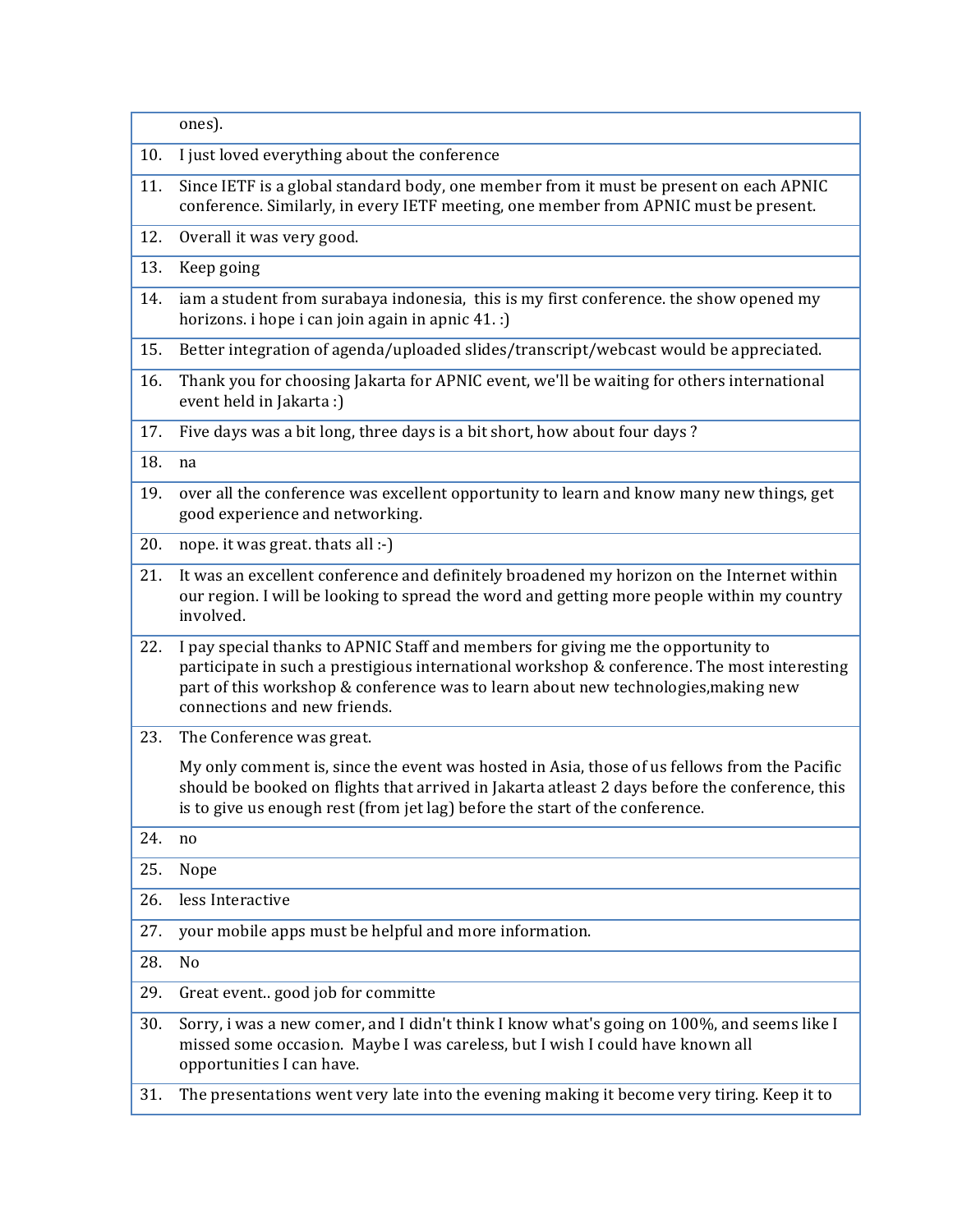|     | ones).                                                                                                                                                                                                                                                                                                |
|-----|-------------------------------------------------------------------------------------------------------------------------------------------------------------------------------------------------------------------------------------------------------------------------------------------------------|
| 10. | I just loved everything about the conference                                                                                                                                                                                                                                                          |
| 11. | Since IETF is a global standard body, one member from it must be present on each APNIC<br>conference. Similarly, in every IETF meeting, one member from APNIC must be present.                                                                                                                        |
| 12. | Overall it was very good.                                                                                                                                                                                                                                                                             |
| 13. | Keep going                                                                                                                                                                                                                                                                                            |
| 14. | iam a student from surabaya indonesia, this is my first conference. the show opened my<br>horizons. i hope i can join again in apnic 41. :)                                                                                                                                                           |
| 15. | Better integration of agenda/uploaded slides/transcript/webcast would be appreciated.                                                                                                                                                                                                                 |
| 16. | Thank you for choosing Jakarta for APNIC event, we'll be waiting for others international<br>event held in Jakarta :)                                                                                                                                                                                 |
| 17. | Five days was a bit long, three days is a bit short, how about four days ?                                                                                                                                                                                                                            |
| 18. | na                                                                                                                                                                                                                                                                                                    |
| 19. | over all the conference was excellent opportunity to learn and know many new things, get<br>good experience and networking.                                                                                                                                                                           |
| 20. | nope. it was great. thats all :-)                                                                                                                                                                                                                                                                     |
| 21. | It was an excellent conference and definitely broadened my horizon on the Internet within<br>our region. I will be looking to spread the word and getting more people within my country<br>involved.                                                                                                  |
| 22. | I pay special thanks to APNIC Staff and members for giving me the opportunity to<br>participate in such a prestigious international workshop & conference. The most interesting<br>part of this workshop & conference was to learn about new technologies, making new<br>connections and new friends. |
| 23. | The Conference was great.                                                                                                                                                                                                                                                                             |
|     | My only comment is, since the event was hosted in Asia, those of us fellows from the Pacific<br>should be booked on flights that arrived in Jakarta atleast 2 days before the conference, this<br>is to give us enough rest (from jet lag) before the start of the conference.                        |
| 24. | no                                                                                                                                                                                                                                                                                                    |
| 25. | Nope                                                                                                                                                                                                                                                                                                  |
| 26. | less Interactive                                                                                                                                                                                                                                                                                      |
| 27. | your mobile apps must be helpful and more information.                                                                                                                                                                                                                                                |
| 28. | No                                                                                                                                                                                                                                                                                                    |
| 29. | Great event good job for committe                                                                                                                                                                                                                                                                     |
| 30. | Sorry, i was a new comer, and I didn't think I know what's going on 100%, and seems like I<br>missed some occasion. Maybe I was careless, but I wish I could have known all<br>opportunities I can have.                                                                                              |
| 31. | The presentations went very late into the evening making it become very tiring. Keep it to                                                                                                                                                                                                            |
|     |                                                                                                                                                                                                                                                                                                       |